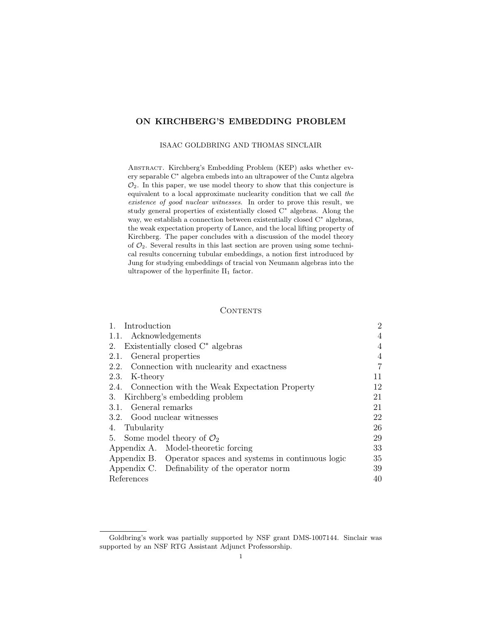# ON KIRCHBERG'S EMBEDDING PROBLEM

#### ISAAC GOLDBRING AND THOMAS SINCLAIR

Abstract. Kirchberg's Embedding Problem (KEP) asks whether every separable C<sup>∗</sup> algebra embeds into an ultrapower of the Cuntz algebra  $\mathcal{O}_2$ . In this paper, we use model theory to show that this conjecture is equivalent to a local approximate nuclearity condition that we call the existence of good nuclear witnesses. In order to prove this result, we study general properties of existentially closed C<sup>∗</sup> algebras. Along the way, we establish a connection between existentially closed C<sup>∗</sup> algebras, the weak expectation property of Lance, and the local lifting property of Kirchberg. The paper concludes with a discussion of the model theory of  $\mathcal{O}_2$ . Several results in this last section are proven using some technical results concerning tubular embeddings, a notion first introduced by Jung for studying embeddings of tracial von Neumann algebras into the ultrapower of the hyperfinite  $II_1$  factor.

### **CONTENTS**

| 1. Introduction                                             | $\overline{2}$ |
|-------------------------------------------------------------|----------------|
| 1.1. Acknowledgements                                       | 4              |
| Existentially closed $C^*$ algebras<br>2.                   | 4              |
| General properties<br>2.1.                                  | 4              |
| 2.2. Connection with nuclearity and exactness               | $\overline{7}$ |
| 2.3. K-theory                                               | 11             |
| 2.4. Connection with the Weak Expectation Property          | 12             |
| 3. Kirchberg's embedding problem                            | 21             |
| 3.1. General remarks                                        | 21             |
| 3.2. Good nuclear witnesses                                 | 22             |
| 4. Tubularity                                               | 26             |
| 5. Some model theory of $\mathcal{O}_2$                     | 29             |
| Appendix A. Model-theoretic forcing                         | 33             |
| Appendix B. Operator spaces and systems in continuous logic | 35             |
| Appendix C. Definability of the operator norm               | 39             |
| References                                                  | 40             |

Goldbring's work was partially supported by NSF grant DMS-1007144. Sinclair was supported by an NSF RTG Assistant Adjunct Professorship.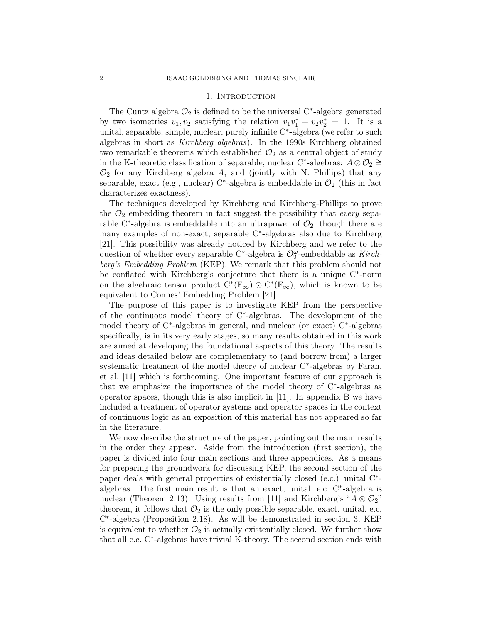#### 1. Introduction

The Cuntz algebra  $\mathcal{O}_2$  is defined to be the universal C<sup>\*</sup>-algebra generated by two isometries  $v_1, v_2$  satisfying the relation  $v_1v_1^* + v_2v_2^* = 1$ . It is a unital, separable, simple, nuclear, purely infinite C<sup>∗</sup> -algebra (we refer to such algebras in short as Kirchberg algebras). In the 1990s Kirchberg obtained two remarkable theorems which established  $\mathcal{O}_2$  as a central object of study in the K-theoretic classification of separable, nuclear C<sup>\*</sup>-algebras:  $A \otimes \mathcal{O}_2 \cong$  $\mathcal{O}_2$  for any Kirchberg algebra A; and (jointly with N. Phillips) that any separable, exact (e.g., nuclear) C<sup>\*</sup>-algebra is embeddable in  $\mathcal{O}_2$  (this in fact characterizes exactness).

The techniques developed by Kirchberg and Kirchberg-Phillips to prove the  $\mathcal{O}_2$  embedding theorem in fact suggest the possibility that *every* separable C<sup>\*</sup>-algebra is embeddable into an ultrapower of  $\mathcal{O}_2$ , though there are many examples of non-exact, separable C<sup>∗</sup> -algebras also due to Kirchberg [21]. This possibility was already noticed by Kirchberg and we refer to the question of whether every separable C<sup>∗</sup>-algebra is  $\mathcal{O}^{\omega}_2$ -embeddable as Kirchberg's Embedding Problem (KEP). We remark that this problem should not be conflated with Kirchberg's conjecture that there is a unique C<sup>∗</sup>-norm on the algebraic tensor product  $C^*(\mathbb{F}_{\infty}) \odot C^*(\mathbb{F}_{\infty})$ , which is known to be equivalent to Connes' Embedding Problem [21].

The purpose of this paper is to investigate KEP from the perspective of the continuous model theory of C<sup>∗</sup> -algebras. The development of the model theory of C<sup>∗</sup> -algebras in general, and nuclear (or exact) C<sup>∗</sup> -algebras specifically, is in its very early stages, so many results obtained in this work are aimed at developing the foundational aspects of this theory. The results and ideas detailed below are complementary to (and borrow from) a larger systematic treatment of the model theory of nuclear C<sup>∗</sup>-algebras by Farah, et al. [11] which is forthcoming. One important feature of our approach is that we emphasize the importance of the model theory of C<sup>∗</sup> -algebras as operator spaces, though this is also implicit in [11]. In appendix B we have included a treatment of operator systems and operator spaces in the context of continuous logic as an exposition of this material has not appeared so far in the literature.

We now describe the structure of the paper, pointing out the main results in the order they appear. Aside from the introduction (first section), the paper is divided into four main sections and three appendices. As a means for preparing the groundwork for discussing KEP, the second section of the paper deals with general properties of existentially closed (e.c.) unital C<sup>\*</sup>algebras. The first main result is that an exact, unital, e.c. C<sup>∗</sup> -algebra is nuclear (Theorem 2.13). Using results from [11] and Kirchberg's " $A \otimes \mathcal{O}_2$ " theorem, it follows that  $\mathcal{O}_2$  is the only possible separable, exact, unital, e.c. C ∗ -algebra (Proposition 2.18). As will be demonstrated in section 3, KEP is equivalent to whether  $\mathcal{O}_2$  is actually existentially closed. We further show that all e.c. C<sup>∗</sup> -algebras have trivial K-theory. The second section ends with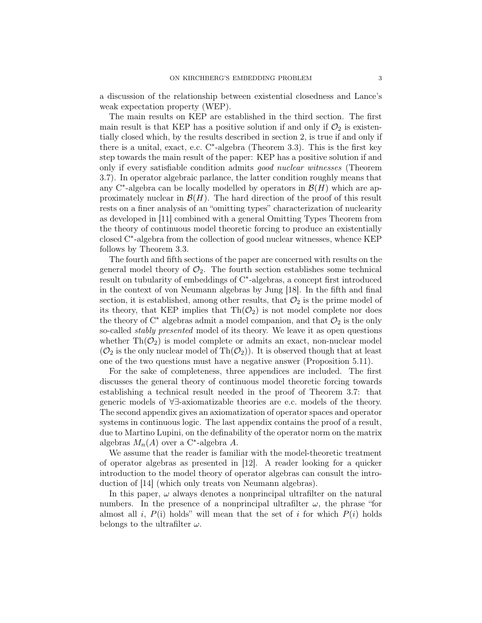a discussion of the relationship between existential closedness and Lance's weak expectation property (WEP).

The main results on KEP are established in the third section. The first main result is that KEP has a positive solution if and only if  $\mathcal{O}_2$  is existentially closed which, by the results described in section 2, is true if and only if there is a unital, exact, e.c. C<sup>∗</sup> -algebra (Theorem 3.3). This is the first key step towards the main result of the paper: KEP has a positive solution if and only if every satisfiable condition admits good nuclear witnesses (Theorem 3.7). In operator algebraic parlance, the latter condition roughly means that any C<sup>\*</sup>-algebra can be locally modelled by operators in  $\mathcal{B}(H)$  which are approximately nuclear in  $\mathcal{B}(H)$ . The hard direction of the proof of this result rests on a finer analysis of an "omitting types" characterization of nuclearity as developed in [11] combined with a general Omitting Types Theorem from the theory of continuous model theoretic forcing to produce an existentially closed C<sup>∗</sup> -algebra from the collection of good nuclear witnesses, whence KEP follows by Theorem 3.3.

The fourth and fifth sections of the paper are concerned with results on the general model theory of  $\mathcal{O}_2$ . The fourth section establishes some technical result on tubularity of embeddings of C<sup>∗</sup> -algebras, a concept first introduced in the context of von Neumann algebras by Jung [18]. In the fifth and final section, it is established, among other results, that  $\mathcal{O}_2$  is the prime model of its theory, that KEP implies that  $\text{Th}(\mathcal{O}_2)$  is not model complete nor does the theory of  $C^*$  algebras admit a model companion, and that  $\mathcal{O}_2$  is the only so-called *stably presented* model of its theory. We leave it as open questions whether  $\text{Th}(\mathcal{O}_2)$  is model complete or admits an exact, non-nuclear model  $(\mathcal{O}_2)$  is the only nuclear model of Th $(\mathcal{O}_2)$ ). It is observed though that at least one of the two questions must have a negative answer (Proposition 5.11).

For the sake of completeness, three appendices are included. The first discusses the general theory of continuous model theoretic forcing towards establishing a technical result needed in the proof of Theorem 3.7: that generic models of ∀∃-axiomatizable theories are e.c. models of the theory. The second appendix gives an axiomatization of operator spaces and operator systems in continuous logic. The last appendix contains the proof of a result, due to Martino Lupini, on the definability of the operator norm on the matrix algebras  $M_n(A)$  over a C<sup>\*</sup>-algebra A.

We assume that the reader is familiar with the model-theoretic treatment of operator algebras as presented in [12]. A reader looking for a quicker introduction to the model theory of operator algebras can consult the introduction of [14] (which only treats von Neumann algebras).

In this paper,  $\omega$  always denotes a nonprincipal ultrafilter on the natural numbers. In the presence of a nonprincipal ultrafilter  $\omega$ , the phrase "for almost all i,  $P(i)$  holds" will mean that the set of i for which  $P(i)$  holds belongs to the ultrafilter  $\omega$ .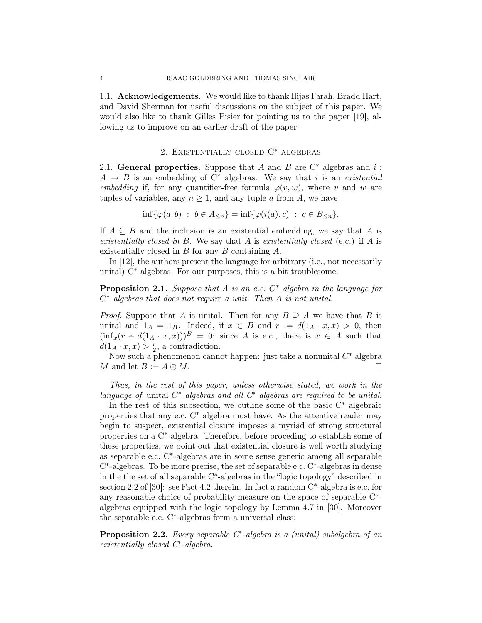1.1. Acknowledgements. We would like to thank Ilijas Farah, Bradd Hart, and David Sherman for useful discussions on the subject of this paper. We would also like to thank Gilles Pisier for pointing us to the paper [19], allowing us to improve on an earlier draft of the paper.

## 2. Existentially closed C<sup>∗</sup> algebras

2.1. General properties. Suppose that A and B are  $\mathbb{C}^*$  algebras and i:  $A \rightarrow B$  is an embedding of C<sup>\*</sup> algebras. We say that i is an existential embedding if, for any quantifier-free formula  $\varphi(v, w)$ , where v and w are tuples of variables, any  $n \geq 1$ , and any tuple a from A, we have

 $\inf{\varphi(a, b) : b \in A_{\leq n}} = \inf{\varphi(i(a), c) : c \in B_{\leq n}}.$ 

If  $A \subseteq B$  and the inclusion is an existential embedding, we say that A is existentially closed in B. We say that A is existentially closed (e.c.) if A is existentially closed in B for any B containing A.

In [12], the authors present the language for arbitrary (i.e., not necessarily unital) C<sup>∗</sup> algebras. For our purposes, this is a bit troublesome:

**Proposition 2.1.** Suppose that A is an e.c.  $C^*$  algebra in the language for  $C^*$  algebras that does not require a unit. Then  $A$  is not unital.

*Proof.* Suppose that A is unital. Then for any  $B \supseteq A$  we have that B is unital and  $1_A = 1_B$ . Indeed, if  $x \in B$  and  $r := d(1_A \cdot x, x) > 0$ , then  $(\inf_x(r - d(1_A \cdot x, x)))^B = 0$ ; since A is e.c., there is  $x \in A$  such that  $d(1_A \cdot x, x) > \frac{r}{2}$  $\frac{r}{2}$ , a contradiction.

Now such a phenomenon cannot happen: just take a nonunital  $C^*$  algebra M and let  $B := A \oplus M$ .

Thus, in the rest of this paper, unless otherwise stated, we work in the language of unital  $C^*$  algebras and all  $C^*$  algebras are required to be unital.

In the rest of this subsection, we outline some of the basic C<sup>∗</sup> algebraic properties that any e.c. C<sup>∗</sup> algebra must have. As the attentive reader may begin to suspect, existential closure imposes a myriad of strong structural properties on a C<sup>∗</sup> -algebra. Therefore, before proceding to establish some of these properties, we point out that existential closure is well worth studying as separable e.c. C<sup>∗</sup> -algebras are in some sense generic among all separable C ∗ -algebras. To be more precise, the set of separable e.c. C<sup>∗</sup> -algebras in dense in the the set of all separable C<sup>∗</sup> -algebras in the "logic topology" described in section 2.2 of [30]: see Fact 4.2 therein. In fact a random C<sup>∗</sup>-algebra is e.c. for any reasonable choice of probability measure on the space of separable C<sup>\*</sup>algebras equipped with the logic topology by Lemma 4.7 in [30]. Moreover the separable e.c. C<sup>∗</sup> -algebras form a universal class:

**Proposition 2.2.** Every separable  $C^*$ -algebra is a (unital) subalgebra of an existentially closed  $C^*$ -algebra.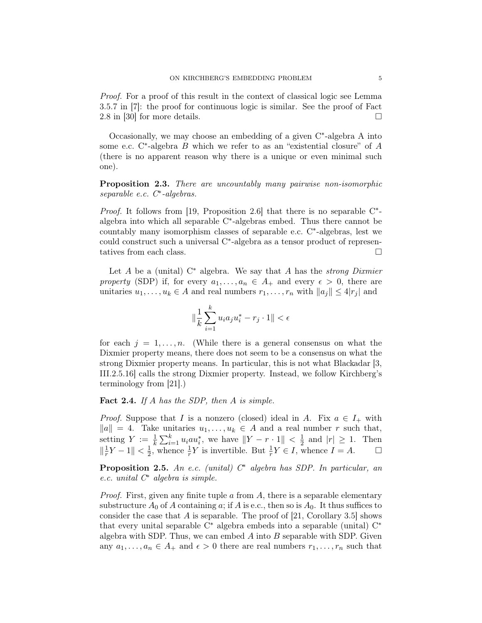Proof. For a proof of this result in the context of classical logic see Lemma 3.5.7 in [7]: the proof for continuous logic is similar. See the proof of Fact 2.8 in [30] for more details.  $\square$ 

Occasionally, we may choose an embedding of a given C<sup>∗</sup> -algebra A into some e.c. C<sup>\*</sup>-algebra *B* which we refer to as an "existential closure" of *A* (there is no apparent reason why there is a unique or even minimal such one).

Proposition 2.3. There are uncountably many pairwise non-isomorphic separable e.c. C<sup>∗</sup> -algebras.

*Proof.* It follows from [19, Proposition 2.6] that there is no separable  $C^*$ algebra into which all separable C<sup>∗</sup> -algebras embed. Thus there cannot be countably many isomorphism classes of separable e.c. C<sup>∗</sup> -algebras, lest we could construct such a universal C<sup>∗</sup> -algebra as a tensor product of representatives from each class.

Let A be a (unital)  $C^*$  algebra. We say that A has the *strong Dixmier* property (SDP) if, for every  $a_1, \ldots, a_n \in A_+$  and every  $\epsilon > 0$ , there are unitaries  $u_1, \ldots, u_k \in A$  and real numbers  $r_1, \ldots, r_n$  with  $||a_j|| \leq 4|r_j|$  and

$$
\|\frac{1}{k}\sum_{i=1}^k u_i a_j u_i^* - r_j \cdot 1\| < \epsilon
$$

for each  $j = 1, \ldots, n$ . (While there is a general consensus on what the Dixmier property means, there does not seem to be a consensus on what the strong Dixmier property means. In particular, this is not what Blackadar [3, III.2.5.16] calls the strong Dixmier property. Instead, we follow Kirchberg's terminology from [21].)

Fact 2.4. If A has the SDP, then A is simple.

*Proof.* Suppose that I is a nonzero (closed) ideal in A. Fix  $a \in I_+$  with  $||a|| = 4$ . Take unitaries  $u_1, \ldots, u_k \in A$  and a real number r such that, setting  $Y := \frac{1}{k} \sum_{i=1}^{k} u_i a u_i^*$ , we have  $||Y - r \cdot 1|| < \frac{1}{2}$  $\frac{1}{2}$  and  $|r| \ge 1$ . Then  $\|\frac{1}{r}\|$  $\frac{1}{r}Y - 1$ ||  $\lt \frac{1}{2}$  $\frac{1}{2}$ , whence  $\frac{1}{r}Y$  is invertible. But  $\frac{1}{r}Y \in I$ , whence  $I = A$ .  $\Box$ 

**Proposition 2.5.** An e.c. (unital)  $C^*$  algebra has SDP. In particular, an e.c. unital C<sup>∗</sup> algebra is simple.

*Proof.* First, given any finite tuple a from A, there is a separable elementary substructure  $A_0$  of A containing a; if A is e.c., then so is  $A_0$ . It thus suffices to consider the case that  $A$  is separable. The proof of [21, Corollary 3.5] shows that every unital separable C<sup>∗</sup> algebra embeds into a separable (unital) C<sup>∗</sup> algebra with SDP. Thus, we can embed  $A$  into  $B$  separable with SDP. Given any  $a_1, \ldots, a_n \in A_+$  and  $\epsilon > 0$  there are real numbers  $r_1, \ldots, r_n$  such that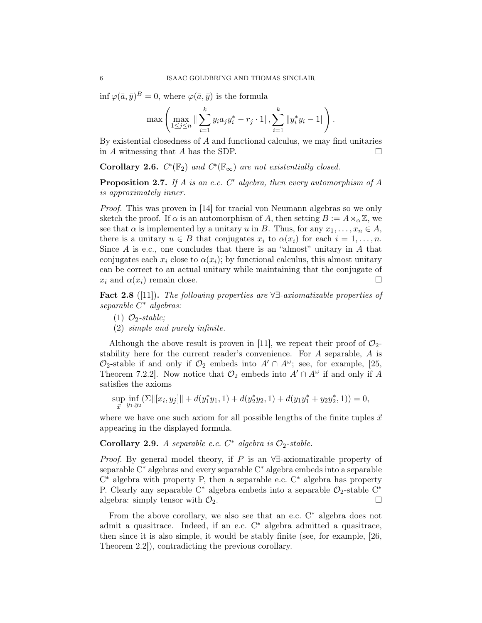$\inf \varphi(\bar a, \bar y)^B = 0$ , where  $\varphi(\bar a, \bar y)$  is the formula

$$
\max \left( \max_{1 \leq j \leq n} \|\sum_{i=1}^k y_i a_j y_i^* - r_j \cdot 1\|, \sum_{i=1}^k \|y_i^* y_i - 1\| \right).
$$

By existential closedness of A and functional calculus, we may find unitaries in A witnessing that A has the SDP.  $\Box$ 

Corollary 2.6.  $C^*(\mathbb{F}_2)$  and  $C^*(\mathbb{F}_{\infty})$  are not existentially closed.

**Proposition 2.7.** If A is an e.c.  $C^*$  algebra, then every automorphism of A is approximately inner.

Proof. This was proven in [14] for tracial von Neumann algebras so we only sketch the proof. If  $\alpha$  is an automorphism of A, then setting  $B := A \rtimes_{\alpha} \mathbb{Z}$ , we see that  $\alpha$  is implemented by a unitary u in B. Thus, for any  $x_1, \ldots, x_n \in A$ , there is a unitary  $u \in B$  that conjugates  $x_i$  to  $\alpha(x_i)$  for each  $i = 1, \ldots, n$ . Since  $A$  is e.c., one concludes that there is an "almost" unitary in  $A$  that conjugates each  $x_i$  close to  $\alpha(x_i)$ ; by functional calculus, this almost unitary can be correct to an actual unitary while maintaining that the conjugate of  $x_i$  and  $\alpha(x_i)$  remain close.

Fact 2.8 ([11]). The following properties are  $\forall \exists$ -axiomatizable properties of separable  $C^*$  algebras:

- (1)  $\mathcal{O}_2$ -stable;
- (2) simple and purely infinite.

Although the above result is proven in [11], we repeat their proof of  $\mathcal{O}_2$ stability here for the current reader's convenience. For A separable, A is  $\mathcal{O}_2$ -stable if and only if  $\mathcal{O}_2$  embeds into  $A' \cap A^\omega$ ; see, for example, [25, Theorem 7.2.2]. Now notice that  $\mathcal{O}_2$  embeds into  $A' \cap A^{\omega}$  if and only if A satisfies the axioms

$$
\sup_{\vec{x}} \inf_{y_1, y_2} (\Sigma \| [x_i, y_j] \| + d(y_1^* y_1, 1) + d(y_2^* y_2, 1) + d(y_1 y_1^* + y_2 y_2^*, 1)) = 0,
$$

where we have one such axiom for all possible lengths of the finite tuples  $\vec{x}$ appearing in the displayed formula.

Corollary 2.9. A separable e.c.  $C^*$  algebra is  $\mathcal{O}_2$ -stable.

*Proof.* By general model theory, if P is an  $\forall \exists$ -axiomatizable property of separable C<sup>∗</sup> algebras and every separable C<sup>∗</sup> algebra embeds into a separable C <sup>∗</sup> algebra with property P, then a separable e.c. C<sup>∗</sup> algebra has property P. Clearly any separable C<sup>∗</sup> algebra embeds into a separable  $\mathcal{O}_2$ -stable C<sup>∗</sup> algebra: simply tensor with  $\mathcal{O}_2$ .

From the above corollary, we also see that an e.c. C<sup>∗</sup> algebra does not admit a quasitrace. Indeed, if an e.c. C<sup>∗</sup> algebra admitted a quasitrace, then since it is also simple, it would be stably finite (see, for example, [26, Theorem 2.2]), contradicting the previous corollary.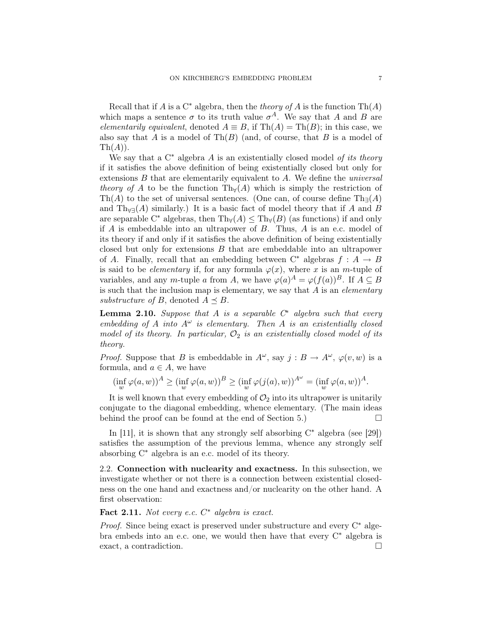Recall that if A is a  $C^*$  algebra, then the *theory of A* is the function  $\text{Th}(A)$ which maps a sentence  $\sigma$  to its truth value  $\sigma^A$ . We say that A and B are elementarily equivalent, denoted  $A \equiv B$ , if Th $(A) = Th(B)$ ; in this case, we also say that A is a model of  $\text{Th}(B)$  (and, of course, that B is a model of  $\mathrm{Th}(A)$ ).

We say that a  $C^*$  algebra A is an existentially closed model of its theory if it satisfies the above definition of being existentially closed but only for extensions  $B$  that are elementarily equivalent to  $A$ . We define the universal theory of A to be the function Th $_{\forall}(A)$  which is simply the restriction of Th(A) to the set of universal sentences. (One can, of course define  $\text{Th}_{\exists}(A)$ and Th<sub>∀∃</sub>(A) similarly.) It is a basic fact of model theory that if A and B are separable C<sup>∗</sup> algebras, then Th<sub>∀</sub>(A)  $\leq$  Th<sub>∀</sub>(B) (as functions) if and only if  $A$  is embeddable into an ultrapower of  $B$ . Thus,  $A$  is an e.c. model of its theory if and only if it satisfies the above definition of being existentially closed but only for extensions B that are embeddable into an ultrapower of A. Finally, recall that an embedding between  $C^*$  algebras  $f : A \rightarrow B$ is said to be *elementary* if, for any formula  $\varphi(x)$ , where x is an m-tuple of variables, and any m-tuple a from A, we have  $\varphi(a)^A = \varphi(f(a))^B$ . If  $A \subseteq B$ is such that the inclusion map is elementary, we say that  $A$  is an *elementary* substructure of B, denoted  $A \prec B$ .

**Lemma 2.10.** Suppose that A is a separable  $C^*$  algebra such that every embedding of A into  $A^{\omega}$  is elementary. Then A is an existentially closed model of its theory. In particular,  $\mathcal{O}_2$  is an existentially closed model of its theory.

*Proof.* Suppose that B is embeddable in  $A^{\omega}$ , say  $j : B \to A^{\omega}$ ,  $\varphi(v, w)$  is a formula, and  $a \in A$ , we have

$$
(\inf_{w} \varphi(a, w))^A \ge (\inf_{w} \varphi(a, w))^B \ge (\inf_{w} \varphi(j(a), w))^{A^{\omega}} = (\inf_{w} \varphi(a, w))^A.
$$

It is well known that every embedding of  $\mathcal{O}_2$  into its ultrapower is unitarily conjugate to the diagonal embedding, whence elementary. (The main ideas behind the proof can be found at the end of Section 5.)

In [11], it is shown that any strongly self absorbing  $C^*$  algebra (see [29]) satisfies the assumption of the previous lemma, whence any strongly self absorbing C<sup>∗</sup> algebra is an e.c. model of its theory.

2.2. Connection with nuclearity and exactness. In this subsection, we investigate whether or not there is a connection between existential closedness on the one hand and exactness and/or nuclearity on the other hand. A first observation:

Fact 2.11. Not every e.c.  $C^*$  algebra is exact.

Proof. Since being exact is preserved under substructure and every C<sup>∗</sup> algebra embeds into an e.c. one, we would then have that every C<sup>∗</sup> algebra is exact, a contradiction.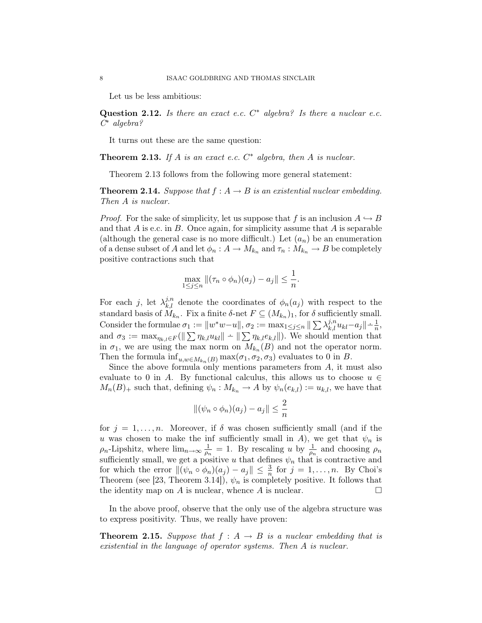Let us be less ambitious:

Question 2.12. Is there an exact e.c.  $C^*$  algebra? Is there a nuclear e.c. C <sup>∗</sup> algebra?

It turns out these are the same question:

**Theorem 2.13.** If A is an exact e.c.  $C^*$  algebra, then A is nuclear.

Theorem 2.13 follows from the following more general statement:

**Theorem 2.14.** Suppose that  $f : A \rightarrow B$  is an existential nuclear embedding. Then A is nuclear.

*Proof.* For the sake of simplicity, let us suppose that f is an inclusion  $A \hookrightarrow B$ and that  $A$  is e.c. in  $B$ . Once again, for simplicity assume that  $A$  is separable (although the general case is no more difficult.) Let  $(a_n)$  be an enumeration of a dense subset of A and let  $\phi_n: A \to M_{k_n}$  and  $\tau_n: M_{k_n} \to B$  be completely positive contractions such that

$$
\max_{1 \le j \le n} \| (\tau_n \circ \phi_n)(a_j) - a_j \| \le \frac{1}{n}.
$$

For each j, let  $\lambda_{k,l}^{j,n}$  denote the coordinates of  $\phi_n(a_j)$  with respect to the standard basis of  $M_{k_n}$ . Fix a finite  $\delta$ -net  $F \subseteq (M_{k_n})_1$ , for  $\delta$  sufficiently small. Consider the formulae  $\sigma_1 := ||w^*w - u||$ ,  $\sigma_2 := \max_{1 \leq j \leq n} || \sum_{k,l} \lambda_{k,l}^{j,n} u_{kl} - a_j || \Delta_{n,l}^{-1}$ and  $\sigma_3 := \max_{\eta_{k,l} \in F} (\|\sum_{k,l} \eta_{k,l} u_{kl}\| - \|\sum_{k,l} \eta_{k,l} e_{k,l}\|)$ . We should mention that in  $\sigma_1$ , we are using the max norm on  $M_{k_n}(B)$  and not the operator norm. Then the formula  $\inf_{u,w \in M_{k_n}(B)} \max(\sigma_1, \sigma_2, \sigma_3)$  evaluates to 0 in B.

Since the above formula only mentions parameters from  $A$ , it must also evaluate to 0 in A. By functional calculus, this allows us to choose  $u \in$  $M_n(B)_+$  such that, defining  $\psi_n : M_{k_n} \to A$  by  $\psi_n(e_{k,l}) := u_{k,l}$ , we have that

$$
\|(\psi_n \circ \phi_n)(a_j) - a_j\| \le \frac{2}{n}
$$

for  $j = 1, \ldots, n$ . Moreover, if  $\delta$  was chosen sufficiently small (and if the u was chosen to make the inf sufficiently small in A), we get that  $\psi_n$  is  $\rho_n$ -Lipshitz, where  $\lim_{n\to\infty}\frac{1}{\rho_n}$  $\frac{1}{\rho_n} = 1$ . By rescaling u by  $\frac{1}{\rho_n}$  and choosing  $\rho_n$ sufficiently small, we get a positive u that defines  $\psi_n$  that is contractive and for which the error  $\|(\psi_n \circ \phi_n)(a_j) - a_j \| \leq \frac{3}{n}$  for  $j = 1, ..., n$ . By Choi's Theorem (see [23, Theorem 3.14]),  $\psi_n$  is completely positive. It follows that the identity map on A is nuclear, whence A is nuclear.  $\square$ 

In the above proof, observe that the only use of the algebra structure was to express positivity. Thus, we really have proven:

**Theorem 2.15.** Suppose that  $f : A \rightarrow B$  is a nuclear embedding that is existential in the language of operator systems. Then A is nuclear.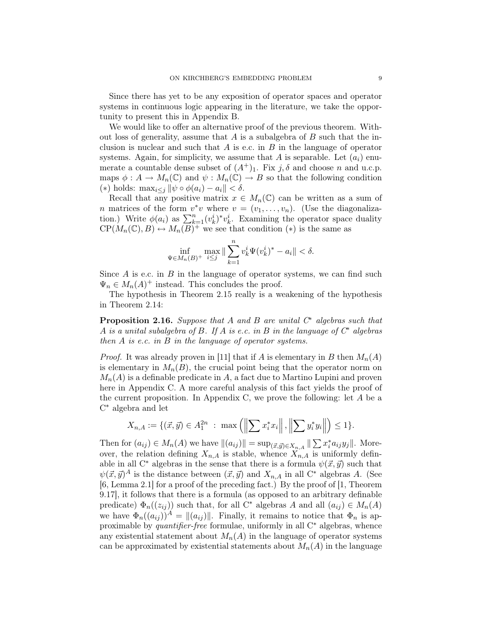Since there has yet to be any exposition of operator spaces and operator systems in continuous logic appearing in the literature, we take the opportunity to present this in Appendix B.

We would like to offer an alternative proof of the previous theorem. Without loss of generality, assume that  $A$  is a subalgebra of  $B$  such that the inclusion is nuclear and such that  $A$  is e.c. in  $B$  in the language of operator systems. Again, for simplicity, we assume that A is separable. Let  $(a_i)$  enumerate a countable dense subset of  $(A^+)_1$ . Fix  $j, \delta$  and choose n and u.c.p. maps  $\phi: A \to M_n(\mathbb{C})$  and  $\psi: M_n(\mathbb{C}) \to B$  so that the following condition (\*) holds:  $\max_{i \leq j} ||\psi \circ \phi(a_i) - a_i|| < \delta$ .

Recall that any positive matrix  $x \in M_n(\mathbb{C})$  can be written as a sum of *n* matrices of the form  $v^*v$  where  $v = (v_1, \ldots, v_n)$ . (Use the diagonalization.) Write  $\phi(a_i)$  as  $\sum_{k=1}^n (v_k^i)^* v_k^i$ . Examining the operator space duality  $\text{CP}(M_n(\mathbb{C}), B) \leftrightarrow M_n(\overline{B})^+$  we see that condition  $(*)$  is the same as

$$
\inf_{\Psi \in M_n(B)^+} \max_{i \le j} \|\sum_{k=1}^n v_k^i \Psi(v_k^i)^* - a_i\| < \delta.
$$

Since  $A$  is e.c. in  $B$  in the language of operator systems, we can find such  $\Psi_n \in M_n(A)^+$  instead. This concludes the proof.

The hypothesis in Theorem 2.15 really is a weakening of the hypothesis in Theorem 2.14:

**Proposition 2.16.** Suppose that A and B are unital  $C^*$  algebras such that A is a unital subalgebra of B. If A is e.c. in B in the language of  $C^*$  algebras then  $A$  is e.c. in  $B$  in the language of operator systems.

*Proof.* It was already proven in [11] that if A is elementary in B then  $M_n(A)$ is elementary in  $M_n(B)$ , the crucial point being that the operator norm on  $M_n(A)$  is a definable predicate in A, a fact due to Martino Lupini and proven here in Appendix C. A more careful analysis of this fact yields the proof of the current proposition. In Appendix C, we prove the following: let  $A$  be a C <sup>∗</sup> algebra and let

$$
X_{n,A} := \{(\vec{x}, \vec{y}) \in A_1^{2n} : \max\left(\left\|\sum x_i^* x_i\right\|, \left\|\sum y_i^* y_i\right\|\right) \le 1\}.
$$

Then for  $(a_{ij}) \in M_n(A)$  we have  $||(a_{ij})|| = \sup_{(\vec{x}, \vec{y}) \in X_{n,A}} || \sum x_i^* a_{ij} y_j ||$ . Moreover, the relation defining  $X_{n,A}$  is stable, whence  $X_{n,A}$  is uniformly definable in all C<sup>\*</sup> algebras in the sense that there is a formula  $\psi(\vec{x}, \vec{y})$  such that  $\psi(\vec{x}, \vec{y})^A$  is the distance between  $(\vec{x}, \vec{y})$  and  $X_{n,A}$  in all C<sup>\*</sup> algebras A. (See [6, Lemma 2.1] for a proof of the preceding fact.) By the proof of [1, Theorem 9.17], it follows that there is a formula (as opposed to an arbitrary definable predicate)  $\Phi_n((z_{ij}))$  such that, for all C<sup>∗</sup> algebras A and all  $(a_{ij}) \in M_n(A)$ we have  $\Phi_n((a_{ij}))^A = ||(a_{ij})||$ . Finally, it remains to notice that  $\Phi_n$  is approximable by quantifier-free formulae, uniformly in all  $C^*$  algebras, whence any existential statement about  $M_n(A)$  in the language of operator systems can be approximated by existential statements about  $M_n(A)$  in the language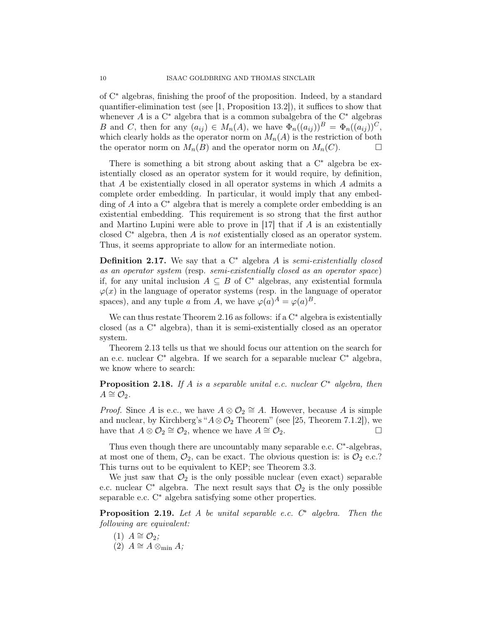of C<sup>∗</sup> algebras, finishing the proof of the proposition. Indeed, by a standard quantifier-elimination test (see [1, Proposition 13.2]), it suffices to show that whenever  $A$  is a  $C^*$  algebra that is a common subalgebra of the  $C^*$  algebras B and C, then for any  $(a_{ij}) \in M_n(A)$ , we have  $\Phi_n((a_{ij}))^B = \Phi_n((a_{ij}))^C$ , which clearly holds as the operator norm on  $M_n(A)$  is the restriction of both the operator norm on  $M_n(B)$  and the operator norm on  $M_n(C)$ .

There is something a bit strong about asking that a  $C^*$  algebra be existentially closed as an operator system for it would require, by definition, that A be existentially closed in all operator systems in which A admits a complete order embedding. In particular, it would imply that any embedding of A into a  $\mathrm{C}^*$  algebra that is merely a complete order embedding is an existential embedding. This requirement is so strong that the first author and Martino Lupini were able to prove in [17] that if A is an existentially closed  $C^*$  algebra, then A is not existentially closed as an operator system. Thus, it seems appropriate to allow for an intermediate notion.

**Definition 2.17.** We say that a  $C^*$  algebra A is semi-existentially closed as an operator system (resp. semi-existentially closed as an operator space) if, for any unital inclusion  $A \subseteq B$  of  $C^*$  algebras, any existential formula  $\varphi(x)$  in the language of operator systems (resp. in the language of operator spaces), and any tuple a from A, we have  $\varphi(a)^A = \varphi(a)^B$ .

We can thus restate Theorem 2.16 as follows: if a  $C^*$  algebra is existentially closed (as a C<sup>∗</sup> algebra), than it is semi-existentially closed as an operator system.

Theorem 2.13 tells us that we should focus our attention on the search for an e.c. nuclear C<sup>∗</sup> algebra. If we search for a separable nuclear C<sup>∗</sup> algebra, we know where to search:

**Proposition 2.18.** If A is a separable unital e.c. nuclear  $C^*$  algebra, then  $A \cong \mathcal{O}_2$ .

*Proof.* Since A is e.c., we have  $A \otimes \mathcal{O}_2 \cong A$ . However, because A is simple and nuclear, by Kirchberg's " $A \otimes \mathcal{O}_2$  Theorem" (see [25, Theorem 7.1.2]), we have that  $A \otimes \mathcal{O}_2 \cong \mathcal{O}_2$ , whence we have  $A \cong \mathcal{O}_2$ .

Thus even though there are uncountably many separable e.c. C<sup>\*</sup>-algebras, at most one of them,  $\mathcal{O}_2$ , can be exact. The obvious question is: is  $\mathcal{O}_2$  e.c.? This turns out to be equivalent to KEP; see Theorem 3.3.

We just saw that  $\mathcal{O}_2$  is the only possible nuclear (even exact) separable e.c. nuclear  $C^*$  algebra. The next result says that  $\mathcal{O}_2$  is the only possible separable e.c. C<sup>∗</sup> algebra satisfying some other properties.

**Proposition 2.19.** Let A be unital separable e.c.  $C^*$  algebra. Then the following are equivalent:

 $(1)$   $A \cong \mathcal{O}_2;$ (2)  $A \cong A \otimes_{\min} A;$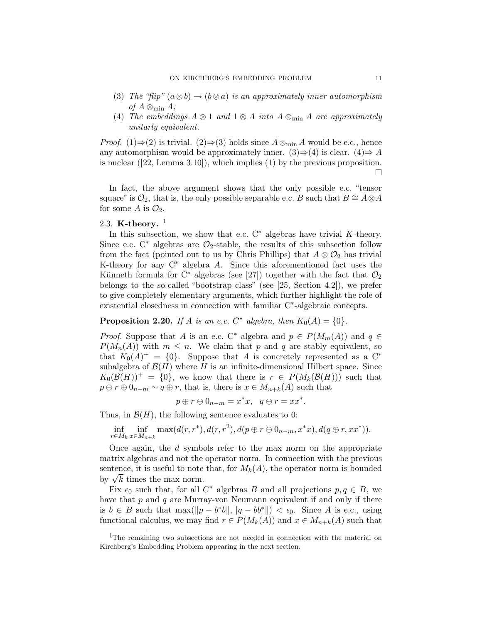- (3) The "flip"  $(a \otimes b) \rightarrow (b \otimes a)$  is an approximately inner automorphism of  $A \otimes_{\min} A$ ;
- (4) The embeddings  $A \otimes 1$  and  $1 \otimes A$  into  $A \otimes_{\min} A$  are approximately unitarly equivalent.

*Proof.* (1)⇒(2) is trivial. (2)⇒(3) holds since  $A \otimes_{\min} A$  would be e.c., hence any automorphism would be approximately inner. (3)⇒(4) is clear. (4)⇒ A is nuclear ([22, Lemma 3.10]), which implies (1) by the previous proposition.  $\Box$ 

In fact, the above argument shows that the only possible e.c. "tensor square" is  $\mathcal{O}_2$ , that is, the only possible separable e.c. B such that  $B \cong A \otimes A$ for some A is  $\mathcal{O}_2$ .

# 2.3. K-theory.  $1$

In this subsection, we show that e.c.  $C^*$  algebras have trivial K-theory. Since e.c.  $C^*$  algebras are  $\mathcal{O}_2$ -stable, the results of this subsection follow from the fact (pointed out to us by Chris Phillips) that  $A \otimes \mathcal{O}_2$  has trivial K-theory for any  $C^*$  algebra A. Since this aforementioned fact uses the Künneth formula for C<sup>∗</sup> algebras (see [27]) together with the fact that  $\mathcal{O}_2$ belongs to the so-called "bootstrap class" (see [25, Section 4.2]), we prefer to give completely elementary arguments, which further highlight the role of existential closedness in connection with familiar C<sup>∗</sup>-algebraic concepts.

**Proposition 2.20.** If A is an e.c.  $C^*$  algebra, then  $K_0(A) = \{0\}.$ 

*Proof.* Suppose that A is an e.c. C<sup>\*</sup> algebra and  $p \in P(M_m(A))$  and  $q \in$  $P(M_n(A))$  with  $m \leq n$ . We claim that p and q are stably equivalent, so that  $K_0(A)^+=\{0\}$ . Suppose that A is concretely represented as a C<sup>\*</sup> subalgebra of  $\mathcal{B}(H)$  where H is an infinite-dimensional Hilbert space. Since  $K_0(\mathcal{B}(H))^+=\{0\}$ , we know that there is  $r \in P(M_k(\mathcal{B}(H)))$  such that  $p \oplus r \oplus 0_{n-m} \sim q \oplus r$ , that is, there is  $x \in M_{n+k}(A)$  such that

 $p \oplus r \oplus 0_{n-m} = x^*x$ ,  $q \oplus r = xx^*$ .

Thus, in  $\mathcal{B}(H)$ , the following sentence evaluates to 0:

 $\inf_{r \in M_k} \inf_{x \in M_{n+k}} \max(d(r, r^*), d(r, r^2), d(p \oplus r \oplus 0_{n-m}, x^*x), d(q \oplus r, xx^*)).$ 

Once again, the d symbols refer to the max norm on the appropriate matrix algebras and not the operator norm. In connection with the previous sentence, it is useful to note that, for  $M_k(A)$ , the operator norm is bounded sentence, it is useful to note<br>by  $\sqrt{k}$  times the max norm.

Fix  $\epsilon_0$  such that, for all  $C^*$  algebras B and all projections  $p, q \in B$ , we have that  $p$  and  $q$  are Murray-von Neumann equivalent if and only if there is  $b \in B$  such that  $\max(||p - b^*b||, ||q - bb^*||) < \epsilon_0$ . Since A is e.c., using functional calculus, we may find  $r \in P(M_k(A))$  and  $x \in M_{n+k}(A)$  such that

<sup>1</sup>The remaining two subsections are not needed in connection with the material on Kirchberg's Embedding Problem appearing in the next section.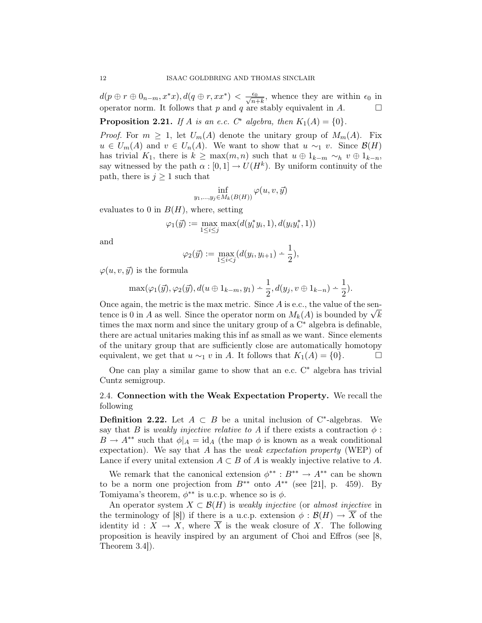$d(p \oplus r \oplus 0_{n-m}, x^*x), d(q \oplus r, xx^*) < \frac{\epsilon_0}{\sqrt{n+k}}$ , whence they are within  $\epsilon_0$  in operator norm. It follows that p and q are stably equivalent in A.  $\Box$ 

**Proposition 2.21.** If A is an e.c.  $C^*$  algebra, then  $K_1(A) = \{0\}$ .

*Proof.* For  $m \geq 1$ , let  $U_m(A)$  denote the unitary group of  $M_m(A)$ . Fix  $u \in U_m(A)$  and  $v \in U_n(A)$ . We want to show that  $u \sim_1 v$ . Since  $\mathcal{B}(H)$ has trivial K<sub>1</sub>, there is  $k \geq \max(m, n)$  such that  $u \oplus 1_{k-m} \sim_h v \oplus 1_{k-n}$ , say witnessed by the path  $\alpha : [0,1] \to U(H^k)$ . By uniform continuity of the path, there is  $j \geq 1$  such that

$$
\inf_{y_1,\ldots,y_j\in M_k(B(H))}\varphi(u,v,\vec{y})
$$

evaluates to 0 in  $B(H)$ , where, setting

$$
\varphi_1(\vec{y}) := \max_{1 \leq i \leq j} \max(d(y_i^* y_i, 1), d(y_i y_i^*, 1))
$$

and

$$
\varphi_2(\vec{y}) := \max_{1 \le i < j} (d(y_i, y_{i+1}) - \frac{1}{2}),
$$

 $\varphi(u, v, \vec{y})$  is the formula

$$
\max(\varphi_1(\vec{y}), \varphi_2(\vec{y}), d(u \oplus 1_{k-m}, y_1) \doteq \frac{1}{2}, d(y_j, v \oplus 1_{k-n}) \doteq \frac{1}{2}).
$$

Once again, the metric is the max metric. Since  $A$  is e.c., the value of the sen-Once again, the metric is the max metric. Since A is e.c., the value of the sentence is 0 in A as well. Since the operator norm on  $M_k(A)$  is bounded by  $\sqrt{k}$ times the max norm and since the unitary group of a  $C^*$  algebra is definable, there are actual unitaries making this inf as small as we want. Since elements of the unitary group that are sufficiently close are automatically homotopy equivalent, we get that  $u \sim_1 v$  in A. It follows that  $K_1(A) = \{0\}.$ 

One can play a similar game to show that an e.c.  $C^*$  algebra has trivial Cuntz semigroup.

# 2.4. Connection with the Weak Expectation Property. We recall the following

**Definition 2.22.** Let  $A \subset B$  be a unital inclusion of C<sup>\*</sup>-algebras. We say that B is weakly injective relative to A if there exists a contraction  $\phi$ :  $B \to A^{**}$  such that  $\phi|_A = id_A$  (the map  $\phi$  is known as a weak conditional expectation). We say that A has the *weak expectation property* (WEP) of Lance if every unital extension  $A \subset B$  of A is weakly injective relative to A.

We remark that the canonical extension  $\phi^{**}: B^{**} \to A^{**}$  can be shown to be a norm one projection from  $B^{**}$  onto  $A^{**}$  (see [21], p. 459). By Tomiyama's theorem,  $\phi^{**}$  is u.c.p. whence so is  $\phi$ .

An operator system  $X \subset \mathcal{B}(H)$  is weakly injective (or almost injective in the terminology of [8]) if there is a u.c.p. extension  $\phi : \mathcal{B}(H) \to \overline{X}$  of the identity id :  $X \to X$ , where  $\overline{X}$  is the weak closure of X. The following proposition is heavily inspired by an argument of Choi and Effros (see [8, Theorem 3.4]).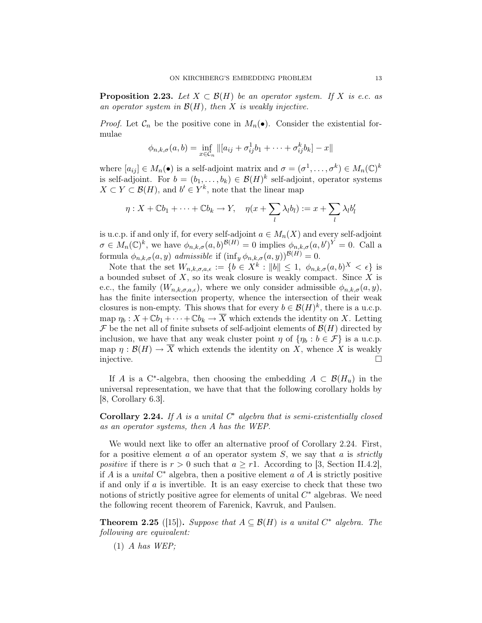**Proposition 2.23.** Let  $X \subset \mathcal{B}(H)$  be an operator system. If X is e.c. as an operator system in  $\mathcal{B}(H)$ , then X is weakly injective.

*Proof.* Let  $\mathcal{C}_n$  be the positive cone in  $M_n(\bullet)$ . Consider the existential formulae

$$
\phi_{n,k,\sigma}(a,b) = \inf_{x \in \mathcal{C}_n} ||[a_{ij} + \sigma_{ij}^1 b_1 + \cdots + \sigma_{ij}^k b_k] - x||
$$

where  $[a_{ij}] \in M_n(\bullet)$  is a self-adjoint matrix and  $\sigma = (\sigma^1, \ldots, \sigma^k) \in M_n(\mathbb{C})^k$ is self-adjoint. For  $b = (b_1, \ldots, b_k) \in \mathcal{B}(H)^k$  self-adjoint, operator systems  $X \subset Y \subset \mathcal{B}(H)$ , and  $b' \in Y^k$ , note that the linear map

$$
\eta: X + \mathbb{C}b_1 + \cdots + \mathbb{C}b_k \to Y, \quad \eta(x + \sum_l \lambda_l b_l) := x + \sum_l \lambda_l b'_l
$$

is u.c.p. if and only if, for every self-adjoint  $a \in M_n(X)$  and every self-adjoint  $\sigma \in M_n(\mathbb{C})^k$ , we have  $\phi_{n,k,\sigma}(a,b)^{\mathcal{B}(H)} = 0$  implies  $\phi_{n,k,\sigma}(a,b')^Y = 0$ . Call a formula  $\phi_{n,k,\sigma}(a, y)$  admissible if  $(\inf_y \phi_{n,k,\sigma}(a, y))^{\mathcal{B}(H)} = 0$ .

Note that the set  $W_{n,k,\sigma,a,\epsilon} := \{b \in X^k : ||b|| \leq 1, \phi_{n,k,\sigma}(a,b)^X < \epsilon\}$  is a bounded subset of  $X$ , so its weak closure is weakly compact. Since  $X$  is e.c., the family  $(W_{n,k,\sigma,a,\epsilon})$ , where we only consider admissible  $\phi_{n,k,\sigma}(a, y)$ , has the finite intersection property, whence the intersection of their weak closures is non-empty. This shows that for every  $b \in \mathcal{B}(H)^k$ , there is a u.c.p. map  $\eta_b : X + \mathbb{C}b_1 + \cdots + \mathbb{C}b_k \to \overline{X}$  which extends the identity on X. Letting  $\mathcal F$  be the net all of finite subsets of self-adjoint elements of  $\mathcal B(H)$  directed by inclusion, we have that any weak cluster point  $\eta$  of  $\{\eta_b : b \in \mathcal{F}\}\)$  is a u.c.p. map  $\eta : \mathcal{B}(H) \to \overline{X}$  which extends the identity on X, whence X is weakly injective.

If A is a C<sup>\*</sup>-algebra, then choosing the embedding  $A \subset \mathcal{B}(H_u)$  in the universal representation, we have that that the following corollary holds by [8, Corollary 6.3].

Corollary 2.24. If A is a unital  $C^*$  algebra that is semi-existentially closed as an operator systems, then A has the WEP.

We would next like to offer an alternative proof of Corollary 2.24. First, for a positive element  $a$  of an operator system  $S$ , we say that  $a$  is *strictly* positive if there is  $r > 0$  such that  $a \geq r$ . According to [3, Section II.4.2], if A is a *unital*  $C^*$  algebra, then a positive element a of A is strictly positive if and only if  $a$  is invertible. It is an easy exercise to check that these two notions of strictly positive agree for elements of unital  $C^*$  algebras. We need the following recent theorem of Farenick, Kavruk, and Paulsen.

**Theorem 2.25** ([15]). Suppose that  $A \subseteq \mathcal{B}(H)$  is a unital  $C^*$  algebra. The following are equivalent:

 $(1)$  A has WEP;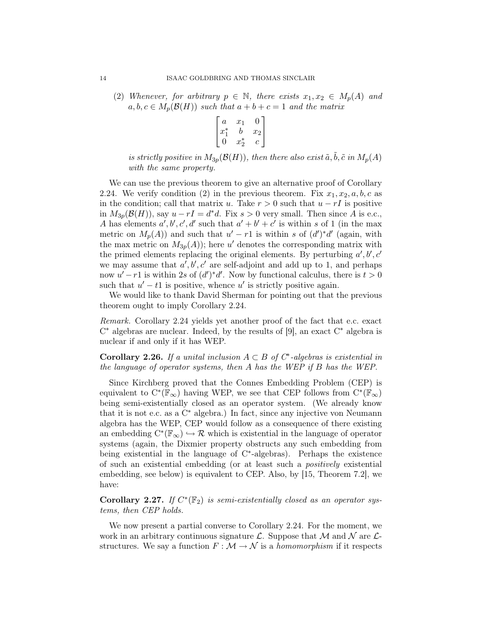(2) Whenever, for arbitrary  $p \in \mathbb{N}$ , there exists  $x_1, x_2 \in M_p(A)$  and  $a, b, c \in M_p(\mathcal{B}(H))$  such that  $a + b + c = 1$  and the matrix

$$
\begin{bmatrix} a & x_1 & 0 \\ x_1^* & b & x_2 \\ 0 & x_2^* & c \end{bmatrix}
$$

is strictly positive in  $M_{3p}(\mathcal{B}(H))$ , then there also exist  $\tilde{a}, \tilde{b}, \tilde{c}$  in  $M_p(A)$ with the same property.

We can use the previous theorem to give an alternative proof of Corollary 2.24. We verify condition (2) in the previous theorem. Fix  $x_1, x_2, a, b, c$  as in the condition; call that matrix u. Take  $r > 0$  such that  $u - rI$  is positive in  $M_{3p}(\mathcal{B}(H))$ , say  $u-rI=d^*d$ . Fix  $s>0$  very small. Then since A is e.c., A has elements  $a', b', c', d'$  such that  $a' + b' + c'$  is within s of 1 (in the max metric on  $M_p(A)$  and such that  $u' - r1$  is within s of  $(d')^*d'$  (again, with the max metric on  $M_{3p}(A)$ ; here u' denotes the corresponding matrix with the primed elements replacing the original elements. By perturbing  $a', b', c'$ we may assume that  $a', b', c'$  are self-adjoint and add up to 1, and perhaps now  $u'-r1$  is within 2s of  $(d')^*d'$ . Now by functional calculus, there is  $t>0$ such that  $u'-t1$  is positive, whence u' is strictly positive again.

We would like to thank David Sherman for pointing out that the previous theorem ought to imply Corollary 2.24.

Remark. Corollary 2.24 yields yet another proof of the fact that e.c. exact C <sup>∗</sup> algebras are nuclear. Indeed, by the results of [9], an exact C<sup>∗</sup> algebra is nuclear if and only if it has WEP.

Corollary 2.26. If a unital inclusion  $A \subset B$  of  $C^*$ -algebras is existential in the language of operator systems, then A has the WEP if B has the WEP.

Since Kirchberg proved that the Connes Embedding Problem (CEP) is equivalent to  $C^*(\mathbb{F}_{\infty})$  having WEP, we see that CEP follows from  $C^*(\mathbb{F}_{\infty})$ being semi-existentially closed as an operator system. (We already know that it is not e.c. as a C<sup>∗</sup> algebra.) In fact, since any injective von Neumann algebra has the WEP, CEP would follow as a consequence of there existing an embedding  $C^*(\mathbb{F}_{\infty}) \hookrightarrow \mathcal{R}$  which is existential in the language of operator systems (again, the Dixmier property obstructs any such embedding from being existential in the language of C<sup>∗</sup> -algebras). Perhaps the existence of such an existential embedding (or at least such a positively existential embedding, see below) is equivalent to CEP. Also, by [15, Theorem 7.2], we have:

Corollary 2.27. If  $C^*(\mathbb{F}_2)$  is semi-existentially closed as an operator systems, then CEP holds.

We now present a partial converse to Corollary 2.24. For the moment, we work in an arbitrary continuous signature  $\mathcal{L}$ . Suppose that  $\mathcal{M}$  and  $\mathcal{N}$  are  $\mathcal{L}$ structures. We say a function  $F : \mathcal{M} \to \mathcal{N}$  is a *homomorphism* if it respects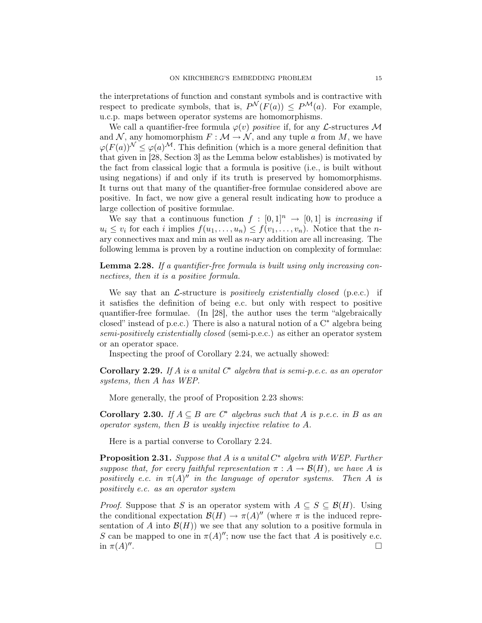the interpretations of function and constant symbols and is contractive with respect to predicate symbols, that is,  $P^{\mathcal{N}}(F(a)) \leq P^{\mathcal{M}}(a)$ . For example, u.c.p. maps between operator systems are homomorphisms.

We call a quantifier-free formula  $\varphi(v)$  *positive* if, for any *L*-structures M and N, any homomorphism  $F : \mathcal{M} \to \mathcal{N}$ , and any tuple a from M, we have  $\varphi(F(a))^{\mathcal{N}} \leq \varphi(a)^{\mathcal{M}}$ . This definition (which is a more general definition that that given in [28, Section 3] as the Lemma below establishes) is motivated by the fact from classical logic that a formula is positive (i.e., is built without using negations) if and only if its truth is preserved by homomorphisms. It turns out that many of the quantifier-free formulae considered above are positive. In fact, we now give a general result indicating how to produce a large collection of positive formulae.

We say that a continuous function  $f : [0,1]^n \rightarrow [0,1]$  is *increasing* if  $u_i \leq v_i$  for each i implies  $f(u_1, \ldots, u_n) \leq f(v_1, \ldots, v_n)$ . Notice that the nary connectives max and min as well as  $n$ -ary addition are all increasing. The following lemma is proven by a routine induction on complexity of formulae:

Lemma 2.28. If a quantifier-free formula is built using only increasing connectives, then it is a positive formula.

We say that an  $\mathcal{L}$ -structure is *positively existentially closed* (p.e.c.) if it satisfies the definition of being e.c. but only with respect to positive quantifier-free formulae. (In [28], the author uses the term "algebraically closed" instead of p.e.c.) There is also a natural notion of a  $C^*$  algebra being semi-positively existentially closed (semi-p.e.c.) as either an operator system or an operator space.

Inspecting the proof of Corollary 2.24, we actually showed:

**Corollary 2.29.** If A is a unital  $C^*$  algebra that is semi-p.e.c. as an operator systems, then A has WEP.

More generally, the proof of Proposition 2.23 shows:

Corollary 2.30. If  $A \subseteq B$  are  $C^*$  algebras such that A is p.e.c. in B as an operator system, then B is weakly injective relative to A.

Here is a partial converse to Corollary 2.24.

**Proposition 2.31.** Suppose that A is a unital  $C^*$  algebra with WEP. Further suppose that, for every faithful representation  $\pi : A \to \mathcal{B}(H)$ , we have A is positively e.c. in  $\pi(A)''$  in the language of operator systems. Then A is positively e.c. as an operator system

*Proof.* Suppose that S is an operator system with  $A \subseteq S \subseteq \mathcal{B}(H)$ . Using the conditional expectation  $\mathcal{B}(H) \to \pi(A)^{\prime\prime}$  (where  $\pi$  is the induced representation of A into  $\mathcal{B}(H)$ ) we see that any solution to a positive formula in S can be mapped to one in  $\pi(A)''$ ; now use the fact that A is positively e.c. in  $\pi(A)''$ .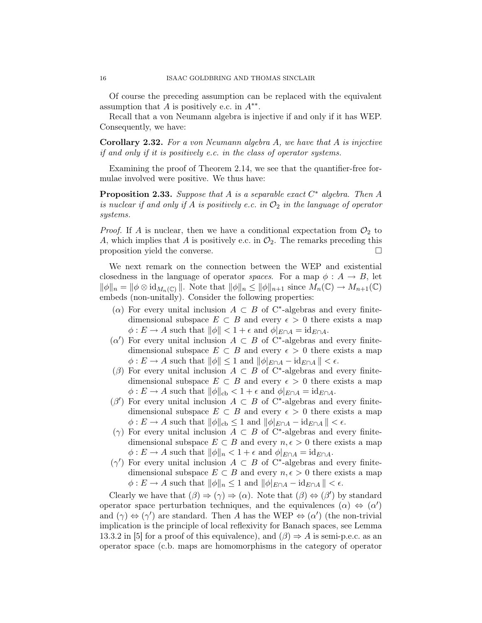Of course the preceding assumption can be replaced with the equivalent assumption that  $A$  is positively e.c. in  $A^{**}$ .

Recall that a von Neumann algebra is injective if and only if it has WEP. Consequently, we have:

Corollary 2.32. For a von Neumann algebra A, we have that A is injective if and only if it is positively e.c. in the class of operator systems.

Examining the proof of Theorem 2.14, we see that the quantifier-free formulae involved were positive. We thus have:

**Proposition 2.33.** Suppose that A is a separable exact  $C^*$  algebra. Then A is nuclear if and only if A is positively e.c. in  $\mathcal{O}_2$  in the language of operator systems.

*Proof.* If A is nuclear, then we have a conditional expectation from  $\mathcal{O}_2$  to A, which implies that A is positively e.c. in  $\mathcal{O}_2$ . The remarks preceding this proposition yield the converse.

We next remark on the connection between the WEP and existential closedness in the language of operator *spaces*. For a map  $\phi : A \rightarrow B$ , let  $\|\phi\|_n = \|\phi\otimes id_{M_n(\mathbb{C})}\|.$  Note that  $\|\phi\|_n \leq \|\phi\|_{n+1}$  since  $M_n(\mathbb{C}) \to M_{n+1}(\mathbb{C})$ embeds (non-unitally). Consider the following properties:

- ( $\alpha$ ) For every unital inclusion  $A \subset B$  of C<sup>\*</sup>-algebras and every finitedimensional subspace  $E \subset B$  and every  $\epsilon > 0$  there exists a map  $\phi: E \to A$  such that  $\|\phi\| < 1 + \epsilon$  and  $\phi|_{E \cap A} = \mathrm{id}_{E \cap A}$ .
- $(\alpha')$  For every unital inclusion  $A \subset B$  of C<sup>\*</sup>-algebras and every finitedimensional subspace  $E \subset B$  and every  $\epsilon > 0$  there exists a map  $\phi: E \to A$  such that  $\|\phi\| \leq 1$  and  $\|\phi\|_{E\cap A} - \mathrm{id}_{E\cap A}\| < \epsilon$ .
- ( $\beta$ ) For every unital inclusion  $A \subset B$  of C<sup>\*</sup>-algebras and every finitedimensional subspace  $E \subset B$  and every  $\epsilon > 0$  there exists a map  $\phi: E \to A$  such that  $\|\phi\|_{\text{cb}} < 1 + \epsilon$  and  $\phi|_{E \cap A} = \text{id}_{E \cap A}$ .
- $(\beta')$  For every unital inclusion  $A \subset B$  of C<sup>\*</sup>-algebras and every finitedimensional subspace  $E \subset B$  and every  $\epsilon > 0$  there exists a map  $\phi: E \to A$  such that  $\|\phi\|_{cb} \leq 1$  and  $\|\phi\|_{E\cap A} - \mathrm{id}_{E\cap A}\| < \epsilon$ .
- (γ) For every unital inclusion  $A ⊂ B$  of C<sup>\*</sup>-algebras and every finitedimensional subspace  $E \subset B$  and every  $n, \epsilon > 0$  there exists a map  $\phi: E \to A$  such that  $\|\phi\|_n < 1 + \epsilon$  and  $\phi|_{E \cap A} = \mathrm{id}_{E \cap A}$ .
- $(γ')$  For every unital inclusion  $A \subset B$  of C<sup>\*</sup>-algebras and every finitedimensional subspace  $E \subset B$  and every  $n, \epsilon > 0$  there exists a map  $\phi: E \to A$  such that  $\|\phi\|_n \leq 1$  and  $\|\phi\|_{E\cap A} - \mathrm{id}_{E\cap A}\| < \epsilon$ .

Clearly we have that  $(\beta) \Rightarrow (\gamma) \Rightarrow (\alpha)$ . Note that  $(\beta) \Leftrightarrow (\beta')$  by standard operator space perturbation techniques, and the equivalences  $(\alpha) \Leftrightarrow (\alpha')$ and  $(\gamma) \Leftrightarrow (\gamma')$  are standard. Then A has the WEP  $\Leftrightarrow (\alpha')$  (the non-trivial implication is the principle of local reflexivity for Banach spaces, see Lemma 13.3.2 in [5] for a proof of this equivalence), and  $(\beta) \Rightarrow A$  is semi-p.e.c. as an operator space (c.b. maps are homomorphisms in the category of operator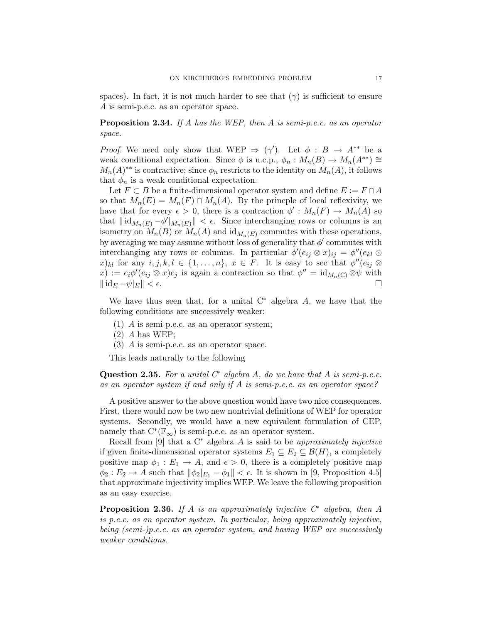spaces). In fact, it is not much harder to see that  $(\gamma)$  is sufficient to ensure A is semi-p.e.c. as an operator space.

Proposition 2.34. If A has the WEP, then A is semi-p.e.c. as an operator space.

*Proof.* We need only show that WEP  $\Rightarrow$  ( $\gamma'$ ). Let  $\phi : B \rightarrow A^{**}$  be a weak conditional expectation. Since  $\phi$  is u.c.p.,  $\phi_n : M_n(B) \to M_n(A^{**}) \cong$  $M_n(A)^{**}$  is contractive; since  $\phi_n$  restricts to the identity on  $M_n(A)$ , it follows that  $\phi_n$  is a weak conditional expectation.

Let  $F \subset B$  be a finite-dimensional operator system and define  $E := F \cap A$ so that  $M_n(E) = M_n(F) \cap M_n(A)$ . By the princple of local reflexivity, we have that for every  $\epsilon > 0$ , there is a contraction  $\phi' : M_n(F) \to M_n(A)$  so that  $\|\mathrm{id}_{M_n(E)} - \phi'\|_{M_n(E)} \| < \epsilon$ . Since interchanging rows or columns is an isometry on  $M_n(B)$  or  $M_n(A)$  and  $\mathrm{id}_{M_n(E)}$  commutes with these operations, by averaging we may assume without loss of generality that  $\phi'$  commutes with interchanging any rows or columns. In particular  $\phi'(e_{ij} \otimes x)_{ij} = \phi''(e_{kl} \otimes x)_{ij}$  $(x)_{kl}$  for any  $i, j, k, l \in \{1, ..., n\}, x \in F$ . It is easy to see that  $\phi''(e_{ij} \otimes$  $f(x) := e_i \phi'(e_{ij} \otimes x) e_j$  is again a contraction so that  $\phi'' = id_{M_n(\mathbb{C})} \otimes \psi$  with  $\|\operatorname{id}_E - \psi|_E \| < \epsilon.$ 

We have thus seen that, for a unital  $C^*$  algebra A, we have that the following conditions are successively weaker:

- (1) A is semi-p.e.c. as an operator system;
- $(2)$  A has WEP;
- (3) A is semi-p.e.c. as an operator space.

This leads naturally to the following

Question 2.35. For a unital  $C^*$  algebra A, do we have that A is semi-p.e.c. as an operator system if and only if A is semi-p.e.c. as an operator space?

A positive answer to the above question would have two nice consequences. First, there would now be two new nontrivial definitions of WEP for operator systems. Secondly, we would have a new equivalent formulation of CEP, namely that  $C^*(\mathbb{F}_{\infty})$  is semi-p.e.c. as an operator system.

Recall from [9] that a  $C^*$  algebra A is said to be approximately injective if given finite-dimensional operator systems  $E_1 \subseteq E_2 \subseteq \mathcal{B}(H)$ , a completely positive map  $\phi_1 : E_1 \to A$ , and  $\epsilon > 0$ , there is a completely positive map  $\phi_2: E_2 \to A$  such that  $\|\phi_2\|_{E_1} - \phi_1 \| < \epsilon$ . It is shown in [9, Proposition 4.5] that approximate injectivity implies WEP. We leave the following proposition as an easy exercise.

**Proposition 2.36.** If A is an approximately injective  $C^*$  algebra, then A is p.e.c. as an operator system. In particular, being approximately injective, being (semi-)p.e.c. as an operator system, and having WEP are successively weaker conditions.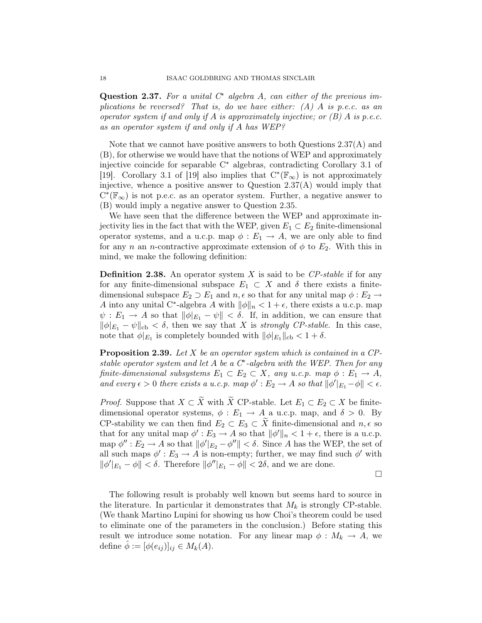Question 2.37. For a unital  $C^*$  algebra A, can either of the previous implications be reversed? That is, do we have either:  $(A)$  A is p.e.c. as an operator system if and only if A is approximately injective; or  $(B)$  A is p.e.c. as an operator system if and only if A has WEP?

Note that we cannot have positive answers to both Questions 2.37(A) and (B), for otherwise we would have that the notions of WEP and approximately injective coincide for separable C<sup>∗</sup> algebras, contradicting Corollary 3.1 of [19]. Corollary 3.1 of [19] also implies that  $C^*(\mathbb{F}_{\infty})$  is not approximately injective, whence a positive answer to Question  $2.37(A)$  would imply that  $C^*(\mathbb{F}_{\infty})$  is not p.e.c. as an operator system. Further, a negative answer to (B) would imply a negative answer to Question 2.35.

We have seen that the difference between the WEP and approximate injectivity lies in the fact that with the WEP, given  $E_1 \subset E_2$  finite-dimensional operator systems, and a u.c.p. map  $\phi : E_1 \to A$ , we are only able to find for any n an n-contractive approximate extension of  $\phi$  to  $E_2$ . With this in mind, we make the following definition:

**Definition 2.38.** An operator system X is said to be  $\mathbb{CP}\text{-stable}$  if for any for any finite-dimensional subspace  $E_1 \subset X$  and  $\delta$  there exists a finitedimensional subspace  $E_2 \supset E_1$  and  $n, \epsilon$  so that for any unital map  $\phi : E_2 \rightarrow$ A into any unital C<sup>\*</sup>-algebra A with  $\|\phi\|_n < 1 + \epsilon$ , there exists a u.c.p. map  $\psi: E_1 \to A$  so that  $\|\phi|_{E_1} - \psi\| < \delta$ . If, in addition, we can ensure that  $\|\phi|_{E_1} - \psi\|_{\text{cb}} < \delta$ , then we say that X is strongly CP-stable. In this case, note that  $\phi|_{E_1}$  is completely bounded with  $\|\phi|_{E_1}\|_{cb} < 1 + \delta$ .

**Proposition 2.39.** Let X be an operator system which is contained in a CPstable operator system and let  $A$  be a  $C^*$ -algebra with the WEP. Then for any finite-dimensional subsystems  $E_1 \subset E_2 \subset X$ , any u.c.p. map  $\phi : E_1 \to A$ , and every  $\epsilon > 0$  there exists a u.c.p. map  $\phi' : E_2 \to A$  so that  $\|\phi'\|_{E_1} - \phi\| < \epsilon$ .

*Proof.* Suppose that  $X \subset \widetilde{X}$  with  $\widetilde{X}$  CP-stable. Let  $E_1 \subset E_2 \subset X$  be finitedimensional operator systems,  $\phi : E_1 \to A$  a u.c.p. map, and  $\delta > 0$ . By CP-stability we can then find  $E_2 \subset E_3 \subset \tilde{X}$  finite-dimensional and  $n, \epsilon$  so that for any unital map  $\phi': E_3 \to A$  so that  $\|\phi'\|_n < 1 + \epsilon$ , there is a u.c.p. map  $\phi'': E_2 \to A$  so that  $\|\phi'\|_{E_2} - \phi''\| < \delta$ . Since A has the WEP, the set of all such maps  $\phi' : E_3 \to A$  is non-empty; further, we may find such  $\phi'$  with  $\|\phi'\|_{E_1} - \phi\| < \delta$ . Therefore  $\|\phi''|_{E_1} - \phi\| < 2\delta$ , and we are done.

 $\Box$ 

The following result is probably well known but seems hard to source in the literature. In particular it demonstrates that  $M_k$  is strongly CP-stable. (We thank Martino Lupini for showing us how Choi's theorem could be used to eliminate one of the parameters in the conclusion.) Before stating this result we introduce some notation. For any linear map  $\phi : M_k \to A$ , we define  $\ddot{\phi} := [\phi(e_{ij})]_{ij} \in M_k(A)$ .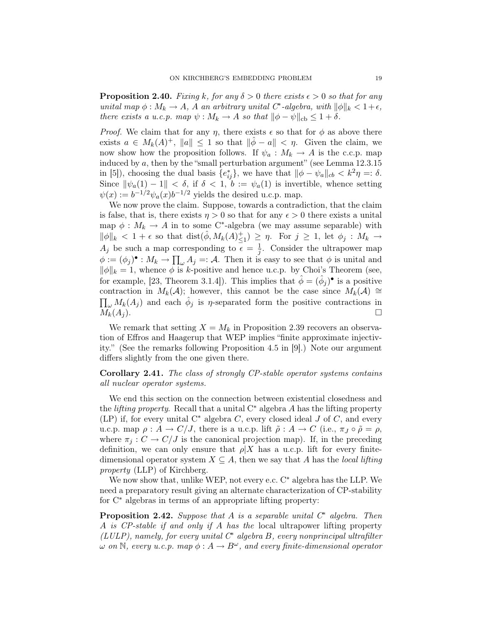**Proposition 2.40.** Fixing k, for any  $\delta > 0$  there exists  $\epsilon > 0$  so that for any unital map  $\phi: M_k \to A$ , A an arbitrary unital  $C^*$ -algebra, with  $\|\phi\|_k < 1+\epsilon$ , there exists a u.c.p. map  $\psi : M_k \to A$  so that  $\|\phi - \psi\|_{cb} \leq 1 + \delta$ .

*Proof.* We claim that for any  $\eta$ , there exists  $\epsilon$  so that for  $\phi$  as above there exists  $a \in M_k(A)^+$ ,  $||a|| \leq 1$  so that  $||\hat{\phi} - a|| < \eta$ . Given the claim, we now show how the proposition follows. If  $\psi_a: M_k \to A$  is the c.c.p. map induced by  $a$ , then by the "small perturbation argument" (see Lemma 12.3.15) in [5]), choosing the dual basis  $\{e_{ij}^*\}$ , we have that  $\|\phi - \psi_a\|_{cb} < k^2\eta =: \delta$ . Since  $\|\psi_a(1) - 1\| < \delta$ , if  $\delta < 1$ ,  $b := \psi_a(1)$  is invertible, whence setting  $\psi(x) := b^{-1/2} \psi_a(x) b^{-1/2}$  yields the desired u.c.p. map.

We now prove the claim. Suppose, towards a contradiction, that the claim is false, that is, there exists  $\eta > 0$  so that for any  $\epsilon > 0$  there exists a unital map  $\phi: M_k \to A$  in to some C<sup>\*</sup>-algebra (we may assume separable) with  $\|\phi\|_k < 1 + \epsilon$  so that  $\text{dist}(\hat{\phi}, M_k(A)^{+}_{\leq 1}) \geq \eta$ . For  $j \geq 1$ , let  $\phi_j : M_k \to$  $A_j$  be such a map corresponding to  $\epsilon = \frac{1}{i}$  $\frac{1}{j}$ . Consider the ultrapower map  $\phi := (\phi_j)^{\bullet} : M_k \to \prod_{\omega} A_j =: \mathcal{A}$ . Then it is easy to see that  $\phi$  is unital and  $\|\phi\|_k = 1$ , whence  $\phi$  is k-positive and hence u.c.p. by Choi's Theorem (see, for example, [23, Theorem 3.1.4]). This implies that  $\hat{\phi} = (\hat{\phi}_j)^{\bullet}$  is a positive contraction in  $M_k(\mathcal{A})$ ; however, this cannot be the case since  $M_k(\mathcal{A}) \cong$  $\prod_{\omega} M_k(A_j)$  and each  $\hat{\phi}_j$  is  $\eta$ -separated form the positive contractions in  $M_k(A_j)$ .

We remark that setting  $X = M_k$  in Proposition 2.39 recovers an observation of Effros and Haagerup that WEP implies "finite approximate injectivity." (See the remarks following Proposition 4.5 in [9].) Note our argument differs slightly from the one given there.

# Corollary 2.41. The class of strongly CP-stable operator systems contains all nuclear operator systems.

We end this section on the connection between existential closedness and the *lifting property*. Recall that a unital  $C^*$  algebra A has the lifting property (LP) if, for every unital  $C^*$  algebra C, every closed ideal J of C, and every u.c.p. map  $\rho: A \to C/J$ , there is a u.c.p. lift  $\tilde{\rho}: A \to C$  (i.e.,  $\pi_J \circ \tilde{\rho} = \rho$ , where  $\pi_i : C \to C/J$  is the canonical projection map). If, in the preceding definition, we can only ensure that  $\rho|X$  has a u.c.p. lift for every finitedimensional operator system  $X \subseteq A$ , then we say that A has the local lifting property (LLP) of Kirchberg.

We now show that, unlike WEP, not every e.c. C<sup>∗</sup> algebra has the LLP. We need a preparatory result giving an alternate characterization of CP-stability for C<sup>∗</sup> algebras in terms of an appropriate lifting property:

**Proposition 2.42.** Suppose that A is a separable unital  $C^*$  algebra. Then A is CP-stable if and only if A has the local ultrapower lifting property  $(LULP)$ , namely, for every unital  $C^*$  algebra  $B$ , every nonprincipal ultrafilter  $\omega$  on N, every u.c.p. map  $\phi: A \to B^{\omega}$ , and every finite-dimensional operator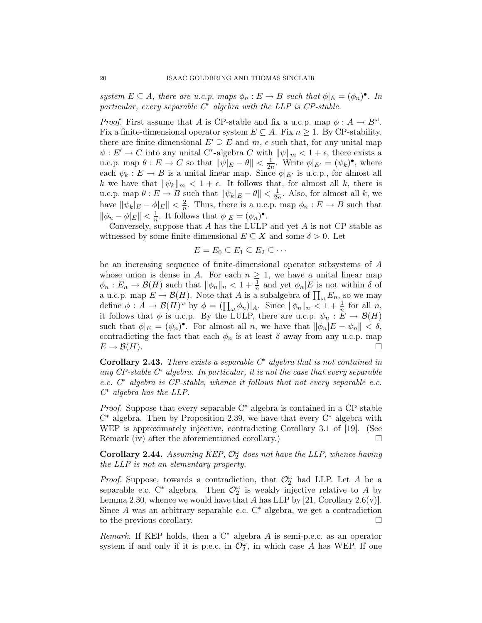system  $E \subseteq A$ , there are u.c.p. maps  $\phi_n : E \to B$  such that  $\phi|_E = (\phi_n)^\bullet$ . In particular, every separable  $C^*$  algebra with the LLP is  $CP$ -stable.

*Proof.* First assume that A is CP-stable and fix a u.c.p. map  $\phi : A \to B^{\omega}$ . Fix a finite-dimensional operator system  $E \subseteq A$ . Fix  $n \geq 1$ . By CP-stability, there are finite-dimensional  $E' \supseteq E$  and  $m$ ,  $\epsilon$  such that, for any unital map  $\psi: E' \to C$  into any unital C<sup>\*</sup>-algebra C with  $\|\psi\|_m < 1 + \epsilon$ , there exists a u.c.p. map  $\theta: E \to C$  so that  $\|\psi|_E - \theta\| < \frac{1}{2r}$  $\frac{1}{2n}$ . Write  $\phi|_{E'} = (\psi_k)^{\bullet}$ , where each  $\psi_k : E \to B$  is a unital linear map. Since  $\phi|_{E'}$  is u.c.p., for almost all k we have that  $\|\psi_k\|_m < 1 + \epsilon$ . It follows that, for almost all k, there is u.c.p. map  $\theta: E \to \hat{B}$  such that  $\|\psi_k|_E - \theta\| < \frac{1}{2r}$  $\frac{1}{2n}$ . Also, for almost all k, we have  $\|\psi_k|_E - \phi|_E\| < \frac{2}{n}$  $\frac{2}{n}$ . Thus, there is a u.c.p. map  $\phi_n : E \to B$  such that  $\|\phi_n - \phi|_E\| < \frac{1}{n}$  $\frac{1}{n}$ . It follows that  $\phi|_{E} = (\phi_n)^{\bullet}$ .

Conversely, suppose that  $A$  has the LULP and yet  $A$  is not CP-stable as witnessed by some finite-dimensional  $E \subseteq X$  and some  $\delta > 0$ . Let

$$
E = E_0 \subseteq E_1 \subseteq E_2 \subseteq \cdots
$$

be an increasing sequence of finite-dimensional operator subsystems of A whose union is dense in A. For each  $n \geq 1$ , we have a unital linear map  $\phi_n : E_n \to \mathcal{B}(H)$  such that  $\|\phi_n\|_n < 1 + \frac{1}{n}$  and yet  $\phi_n |E$  is not within  $\delta$  of a u.c.p. map  $E \to \mathcal{B}(H)$ . Note that A is a subalgebra of  $\prod_{\omega} E_n$ , so we may define  $\phi: A \to \mathcal{B}(H)^\omega$  by  $\phi = (\prod_\omega \phi_n)|_A$ . Since  $\|\phi_n\|_n < 1 + \frac{1}{n}$  for all n, it follows that  $\phi$  is u.c.p. By the LULP, there are u.c.p.  $\psi_n : E \to \mathcal{B}(H)$ such that  $\phi|_E = (\psi_n)^\bullet$ . For almost all n, we have that  $\|\phi_n|E - \psi_n\| < \delta$ , contradicting the fact that each  $\phi_n$  is at least  $\delta$  away from any u.c.p. map  $E \to \mathcal{B}(H)$ .

Corollary 2.43. There exists a separable  $C^*$  algebra that is not contained in any  $CP$ -stable  $C^*$  algebra. In particular, it is not the case that every separable e.c. C<sup>∗</sup> algebra is CP-stable, whence it follows that not every separable e.c. C <sup>∗</sup> algebra has the LLP.

Proof. Suppose that every separable C<sup>∗</sup> algebra is contained in a CP-stable C <sup>∗</sup> algebra. Then by Proposition 2.39, we have that every C<sup>∗</sup> algebra with WEP is approximately injective, contradicting Corollary 3.1 of [19]. (See Remark (iv) after the aforementioned corollary.)

Corollary 2.44. Assuming KEP,  $\mathcal{O}_2^{\omega}$  does not have the LLP, whence having the LLP is not an elementary property.

*Proof.* Suppose, towards a contradiction, that  $\mathcal{O}_2^{\omega}$  had LLP. Let A be a separable e.c.  $C^*$  algebra. Then  $\mathcal{O}_2^{\omega}$  is weakly injective relative to A by Lemma 2.30, whence we would have that A has LLP by  $[21,$  Corollary  $2.6(v)$ ]. Since A was an arbitrary separable e.c.  $C^*$  algebra, we get a contradiction to the previous corollary.

*Remark.* If KEP holds, then a  $C^*$  algebra A is semi-p.e.c. as an operator system if and only if it is p.e.c. in  $\mathcal{O}_2^{\omega}$ , in which case A has WEP. If one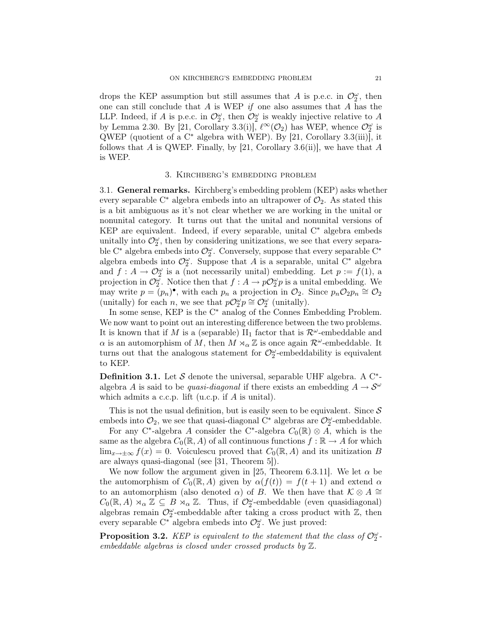drops the KEP assumption but still assumes that A is p.e.c. in  $\mathcal{O}_2^{\omega}$ , then one can still conclude that  $A$  is WEP if one also assumes that  $A$  has the LLP. Indeed, if A is p.e.c. in  $\mathcal{O}_2^{\omega}$ , then  $\mathcal{O}_2^{\omega}$  is weakly injective relative to A by Lemma 2.30. By [21, Corollary 3.3(i)],  $\ell^{\infty}(\mathcal{O}_2)$  has WEP, whence  $\mathcal{O}_2^{\omega}$  is  $QWEP$  (quotient of a C<sup>\*</sup> algebra with WEP). By [21, Corollary 3.3(iii)], it follows that A is QWEP. Finally, by [21, Corollary 3.6(ii)], we have that A is WEP.

### 3. Kirchberg's embedding problem

3.1. General remarks. Kirchberg's embedding problem (KEP) asks whether every separable C<sup>\*</sup> algebra embeds into an ultrapower of  $\mathcal{O}_2$ . As stated this is a bit ambiguous as it's not clear whether we are working in the unital or nonunital category. It turns out that the unital and nonunital versions of KEP are equivalent. Indeed, if every separable, unital C<sup>∗</sup> algebra embeds unitally into  $\mathcal{O}_2^{\omega}$ , then by considering unitizations, we see that every separable  $\mathrm{C}^*$  algebra embeds into  $\mathcal{O}_2^{\omega}$ . Conversely, suppose that every separable  $\mathrm{C}^*$ algebra embeds into  $\mathcal{O}_2^{\omega}$ . Suppose that A is a separable, unital C<sup>\*</sup> algebra and  $f: A \to \mathcal{O}_2^{\omega}$  is a (not necessarily unital) embedding. Let  $p := f(1)$ , a projection in  $\mathcal{O}_2^{\omega}$ . Notice then that  $f : A \to p\mathcal{O}_2^{\omega}p$  is a unital embedding. We may write  $p = (p_n)$ <sup>•</sup>, with each  $p_n$  a projection in  $\mathcal{O}_2$ . Since  $p_n \mathcal{O}_2 p_n \cong \mathcal{O}_2$ (unitally) for each *n*, we see that  $p\mathcal{O}_2^{\omega} p \cong \mathcal{O}_2^{\omega}$  (unitally).

In some sense, KEP is the C<sup>∗</sup> analog of the Connes Embedding Problem. We now want to point out an interesting difference between the two problems. It is known that if M is a (separable)  $\text{II}_1$  factor that is  $\mathcal{R}^{\omega}$ -embeddable and  $\alpha$  is an automorphism of  $\hat{M}$ , then  $\hat{M} \rtimes_{\alpha} \mathbb{Z}$  is once again  $\mathcal{R}^{\omega}$ -embeddable. It turns out that the analogous statement for  $\mathcal{O}^{\omega}_2$ -embeddability is equivalent to KEP.

**Definition 3.1.** Let  $S$  denote the universal, separable UHF algebra. A C<sup>\*</sup>algebra A is said to be quasi-diagonal if there exists an embedding  $A \to \mathcal{S}^{\omega}$ which admits a c.c.p. lift (u.c.p. if  $A$  is unital).

This is not the usual definition, but is easily seen to be equivalent. Since  $S$ embeds into  $\mathcal{O}_2$ , we see that quasi-diagonal C<sup>∗</sup> algebras are  $\mathcal{O}_2^{\omega}$ -embeddable.

For any C<sup>\*</sup>-algebra A consider the C<sup>\*</sup>-algebra  $C_0(\mathbb{R}) \otimes A$ , which is the same as the algebra  $C_0(\mathbb{R}, A)$  of all continuous functions  $f : \mathbb{R} \to A$  for which  $\lim_{x\to\pm\infty} f(x) = 0$ . Voiculescu proved that  $C_0(\mathbb{R}, A)$  and its unitization B are always quasi-diagonal (see [31, Theorem 5]).

We now follow the argument given in [25, Theorem 6.3.11]. We let  $\alpha$  be the automorphism of  $C_0(\mathbb{R}, A)$  given by  $\alpha(f(t)) = f(t + 1)$  and extend  $\alpha$ to an automorphism (also denoted  $\alpha$ ) of B. We then have that  $\mathcal{K} \otimes A \cong$  $C_0(\mathbb{R}, A) \rtimes_{\alpha} \mathbb{Z} \subseteq B \rtimes_{\alpha} \mathbb{Z}$ . Thus, if  $\mathcal{O}_{2}^{\omega}$ -embeddable (even quasidiagonal) algebras remain  $\mathcal{O}_2^{\omega}$ -embeddable after taking a cross product with  $\mathbb{Z}$ , then every separable  $C^*$  algebra embeds into  $\mathcal{O}_2^{\omega}$ . We just proved:

**Proposition 3.2.** KEP is equivalent to the statement that the class of  $\mathcal{O}_2^{\omega}$ . embeddable algebras is closed under crossed products by Z.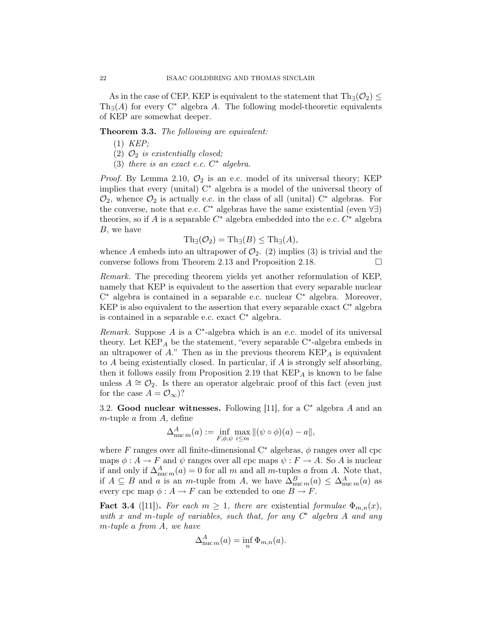As in the case of CEP, KEP is equivalent to the statement that  $\text{Th}_{\exists}(\mathcal{O}_{2})$  <  $\text{Th}_{\exists}(A)$  for every  $\mathbb{C}^*$  algebra A. The following model-theoretic equivalents of KEP are somewhat deeper.

Theorem 3.3. The following are equivalent:

- (1) KEP;
- (2)  $\mathcal{O}_2$  is existentially closed;
- (3) there is an exact e.c.  $C^*$  algebra.

*Proof.* By Lemma 2.10,  $\mathcal{O}_2$  is an e.c. model of its universal theory; KEP implies that every (unital) C<sup>∗</sup> algebra is a model of the universal theory of  $\mathcal{O}_2$ , whence  $\mathcal{O}_2$  is actually e.c. in the class of all (unital) C<sup>\*</sup> algebras. For the converse, note that e.c.  $C^*$  algebras have the same existential (even  $\forall \exists$ ) theories, so if A is a separable  $C^*$  algebra embedded into the e.c.  $C^*$  algebra B, we have

$$
\mathrm{Th}_{\exists}(\mathcal{O}_2) = \mathrm{Th}_{\exists}(B) \le \mathrm{Th}_{\exists}(A),
$$

whence A embeds into an ultrapower of  $\mathcal{O}_2$ . (2) implies (3) is trivial and the converse follows from Theorem 2.13 and Proposition 2.18.

Remark. The preceding theorem yields yet another reformulation of KEP, namely that KEP is equivalent to the assertion that every separable nuclear C <sup>∗</sup> algebra is contained in a separable e.c. nuclear C<sup>∗</sup> algebra. Moreover, KEP is also equivalent to the assertion that every separable exact  $C^*$  algebra is contained in a separable e.c. exact C<sup>∗</sup> algebra.

Remark. Suppose  $A$  is a C<sup>\*</sup>-algebra which is an e.c. model of its universal theory. Let  $\text{KEP}_A$  be the statement, "every separable C<sup>\*</sup>-algebra embeds in an ultrapower of  $A$ ." Then as in the previous theorem  $\mathrm{KEP}_A$  is equivalent to  $A$  being existentially closed. In particular, if  $A$  is strongly self absorbing, then it follows easily from Proposition 2.19 that  $\mathrm{KEP}_A$  is known to be false unless  $A \cong \mathcal{O}_2$ . Is there an operator algebraic proof of this fact (even just for the case  $A = \mathcal{O}_{\infty}$ ?

3.2. Good nuclear witnesses. Following [11], for a  $C^*$  algebra A and an m-tuple  $a$  from  $A$ , define

$$
\Delta_{\text{nuc } m}^A(a) := \inf_{F, \phi, \psi} \max_{i \leq m} \| (\psi \circ \phi)(a) - a \|,
$$

where F ranges over all finite-dimensional  $C^*$  algebras,  $\phi$  ranges over all cpc maps  $\phi: A \to F$  and  $\psi$  ranges over all cpc maps  $\psi: F \to A$ . So A is nuclear if and only if  $\Delta_{\text{nuc }m}^{A}(a) = 0$  for all m and all m-tuples a from A. Note that, if  $A \subseteq B$  and a is an m-tuple from A, we have  $\Delta_{\text{nuc } m}^B(a) \leq \Delta_{\text{nuc } m}^A(a)$  as every cpc map  $\phi: A \to F$  can be extended to one  $B \to F$ .

**Fact 3.4** ([11]). For each  $m \geq 1$ , there are existential formulae  $\Phi_{m,n}(x)$ , with x and m-tuple of variables, such that, for any  $C^*$  algebra A and any m-tuple a from A, we have

$$
\Delta_{\text{nuc }m}^A(a) = \inf_n \Phi_{m,n}(a).
$$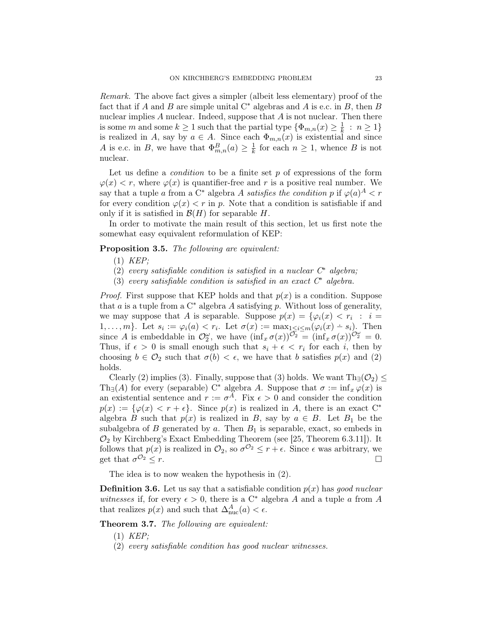Remark. The above fact gives a simpler (albeit less elementary) proof of the fact that if A and B are simple unital  $C^*$  algebras and A is e.c. in B, then B nuclear implies  $A$  nuclear. Indeed, suppose that  $A$  is not nuclear. Then there is some m and some  $k \geq 1$  such that the partial type  $\{\Phi_{m,n}(x) \geq \frac{1}{k}\}$  $\frac{1}{k}$  :  $n \geq 1$ } is realized in A, say by  $a \in A$ . Since each  $\Phi_{m,n}(x)$  is existential and since A is e.c. in B, we have that  $\Phi_{m,n}^B(a) \geq \frac{1}{k}$  $\frac{1}{k}$  for each  $n \geq 1$ , whence B is not nuclear.

Let us define a *condition* to be a finite set  $p$  of expressions of the form  $\varphi(x) < r$ , where  $\varphi(x)$  is quantifier-free and r is a positive real number. We say that a tuple a from a C<sup>∗</sup> algebra A satisfies the condition p if  $\varphi(a)^A < r$ for every condition  $\varphi(x) < r$  in p. Note that a condition is satisfiable if and only if it is satisfied in  $\mathcal{B}(H)$  for separable H.

In order to motivate the main result of this section, let us first note the somewhat easy equivalent reformulation of KEP:

Proposition 3.5. The following are equivalent:

- (1) KEP;
- (2) every satisfiable condition is satisfied in a nuclear  $C^*$  algebra;
- (3) every satisfiable condition is satisfied in an exact  $C^*$  algebra.

*Proof.* First suppose that KEP holds and that  $p(x)$  is a condition. Suppose that a is a tuple from a  $C^*$  algebra A satisfying p. Without loss of generality, we may suppose that A is separable. Suppose  $p(x) = \{ \varphi_i(x) < r_i : i =$ 1, ..., m}. Let  $s_i := \varphi_i(a) < r_i$ . Let  $\sigma(x) := \max_{1 \leq i \leq m} (\varphi_i(x) - s_i)$ . Then since A is embeddable in  $\mathcal{O}_2^{\omega}$ , we have  $(\inf_x \sigma(x))^{\mathcal{O}_2} = (\inf_x \sigma(x))^{\mathcal{O}_2^{\omega}} = 0$ . Thus, if  $\epsilon > 0$  is small enough such that  $s_i + \epsilon < r_i$  for each i, then by choosing  $b \in \mathcal{O}_2$  such that  $\sigma(b) < \epsilon$ , we have that b satisfies  $p(x)$  and (2) holds.

Clearly (2) implies (3). Finally, suppose that (3) holds. We want  $Th_{\exists}(\mathcal{O}_2) \leq$ Th<sub>∃</sub>(A) for every (separable) C<sup>\*</sup> algebra A. Suppose that  $\sigma := \inf_x \varphi(x)$  is an existential sentence and  $r := \sigma^A$ . Fix  $\epsilon > 0$  and consider the condition  $p(x) := \{\varphi(x) < r + \epsilon\}.$  Since  $p(x)$  is realized in A, there is an exact  $C^*$ algebra B such that  $p(x)$  is realized in B, say by  $a \in B$ . Let  $B_1$  be the subalgebra of B generated by a. Then  $B_1$  is separable, exact, so embeds in  $\mathcal{O}_2$  by Kirchberg's Exact Embedding Theorem (see [25, Theorem 6.3.11]). It follows that  $p(x)$  is realized in  $\mathcal{O}_2$ , so  $\sigma^{\mathcal{O}_2} \leq r + \epsilon$ . Since  $\epsilon$  was arbitrary, we get that  $\sigma^{O_2} < r$ .  $\mathcal{O}_2 \leq r.$ 

The idea is to now weaken the hypothesis in (2).

**Definition 3.6.** Let us say that a satisfiable condition  $p(x)$  has good nuclear witnesses if, for every  $\epsilon > 0$ , there is a C<sup>\*</sup> algebra A and a tuple a from A that realizes  $p(x)$  and such that  $\Delta_{\text{nuc}}^A(a) < \epsilon$ .

Theorem 3.7. The following are equivalent:

- (1) KEP;
- (2) every satisfiable condition has good nuclear witnesses.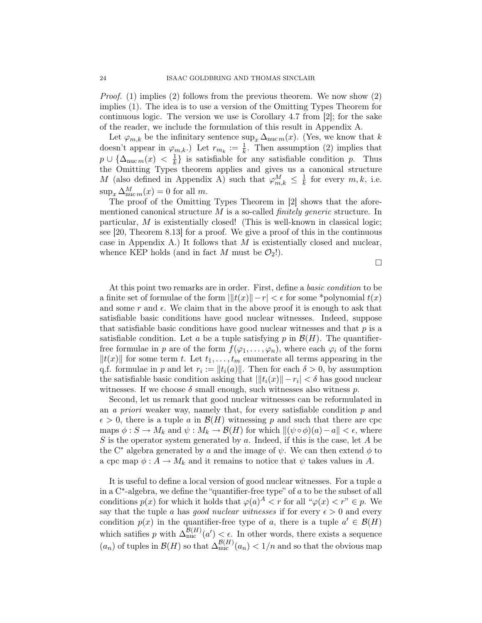*Proof.* (1) implies (2) follows from the previous theorem. We now show (2) implies (1). The idea is to use a version of the Omitting Types Theorem for continuous logic. The version we use is Corollary 4.7 from [2]; for the sake of the reader, we include the formulation of this result in Appendix A.

Let  $\varphi_{m,k}$  be the infinitary sentence  $\sup_x \Delta_{\text{nuc } m}(x)$ . (Yes, we know that k doesn't appear in  $\varphi_{m,k}$ .) Let  $r_{m_k} := \frac{1}{k}$ . Then assumption (2) implies that  $p \cup \{\Delta_{\text{nuc } m}(x) \leq \frac{1}{k}\}$  $\frac{1}{k}$  is satisfiable for any satisfiable condition p. Thus the Omitting Types theorem applies and gives us a canonical structure M (also defined in Appendix A) such that  $\varphi_{m,k}^M \leq \frac{1}{k}$  $\frac{1}{k}$  for every  $m, k$ , i.e.  $\sup_x \Delta_{\text{nuc } m}^M(x) = 0$  for all m.

The proof of the Omitting Types Theorem in [2] shows that the aforementioned canonical structure  $M$  is a so-called *finitely generic* structure. In particular, M is existentially closed! (This is well-known in classical logic; see [20, Theorem 8.13] for a proof. We give a proof of this in the continuous case in Appendix A.) It follows that  $M$  is existentially closed and nuclear, whence KEP holds (and in fact M must be  $\mathcal{O}_2$ !).

 $\Box$ 

At this point two remarks are in order. First, define a *basic condition* to be a finite set of formulae of the form  $||t(x)||-r| < \epsilon$  for some \*polynomial  $t(x)$ and some r and  $\epsilon$ . We claim that in the above proof it is enough to ask that satisfiable basic conditions have good nuclear witnesses. Indeed, suppose that satisfiable basic conditions have good nuclear witnesses and that  $p$  is a satisfiable condition. Let a be a tuple satisfying p in  $\mathcal{B}(H)$ . The quantifierfree formulae in p are of the form  $f(\varphi_1, \ldots, \varphi_n)$ , where each  $\varphi_i$  of the form  $||t(x)||$  for some term t. Let  $t_1, \ldots, t_m$  enumerate all terms appearing in the q.f. formulae in p and let  $r_i := ||t_i(a)||$ . Then for each  $\delta > 0$ , by assumption the satisfiable basic condition asking that  $|||t_i(x)|| - r_i| < \delta$  has good nuclear witnesses. If we choose  $\delta$  small enough, such witnesses also witness p.

Second, let us remark that good nuclear witnesses can be reformulated in an a priori weaker way, namely that, for every satisfiable condition  $p$  and  $\epsilon > 0$ , there is a tuple a in  $\mathcal{B}(H)$  witnessing p and such that there are cpc maps  $\phi : S \to M_k$  and  $\psi : M_k \to \mathcal{B}(H)$  for which  $\|(\psi \circ \phi)(a) - a\| < \epsilon$ , where  $S$  is the operator system generated by  $a$ . Indeed, if this is the case, let  $A$  be the C<sup>∗</sup> algebra generated by a and the image of  $\psi$ . We can then extend  $\phi$  to a cpc map  $\phi: A \to M_k$  and it remains to notice that  $\psi$  takes values in A.

It is useful to define a local version of good nuclear witnesses. For a tuple a in a C<sup>∗</sup> -algebra, we define the "quantifier-free type" of a to be the subset of all conditions  $p(x)$  for which it holds that  $\varphi(a)^A < r$  for all " $\varphi(x) < r$ "  $\in p$ . We say that the tuple a has good nuclear witnesses if for every  $\epsilon > 0$  and every condition  $p(x)$  in the quantifier-free type of a, there is a tuple  $a' \in \mathcal{B}(H)$ which satifies p with  $\Delta_{\text{nuc}}^{\mathcal{B}(H)}(a') < \epsilon$ . In other words, there exists a sequence  $(a_n)$  of tuples in  $\mathcal{B}(H)$  so that  $\Delta_{\text{nuc}}^{\mathcal{B}(H)}(a_n) < 1/n$  and so that the obvious map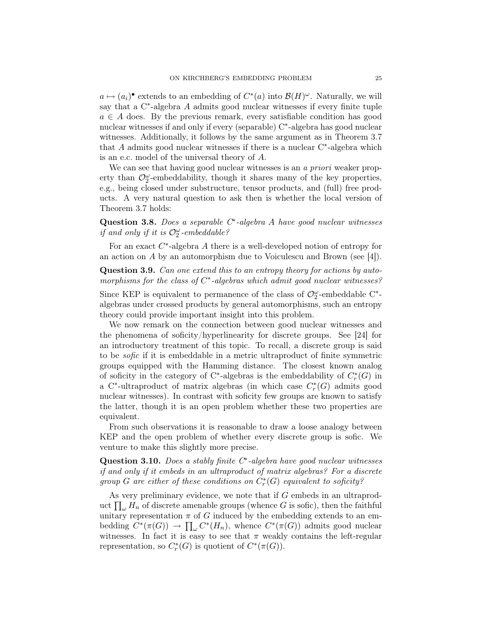$a \mapsto (a_i)^{\bullet}$  extends to an embedding of  $C^*(a)$  into  $\mathcal{B}(H)^\omega$ . Naturally, we will say that a C<sup>∗</sup>-algebra A admits good nuclear witnesses if every finite tuple  $a \in A$  does. By the previous remark, every satisfiable condition has good nuclear witnesses if and only if every (separable) C<sup>∗</sup> -algebra has good nuclear witnesses. Additionally, it follows by the same argument as in Theorem 3.7 that  $A$  admits good nuclear witnesses if there is a nuclear  $C^*$ -algebra which is an e.c. model of the universal theory of A.

We can see that having good nuclear witnesses is an a priori weaker property than  $\mathcal{O}_2^{\omega}$ -embeddability, though it shares many of the key properties, e.g., being closed under substructure, tensor products, and (full) free products. A very natural question to ask then is whether the local version of Theorem 3.7 holds:

Question 3.8. Does a separable  $C^*$ -algebra A have good nuclear witnesses if and only if it is  $\mathcal{O}^{\omega}_2$ -embeddable?

For an exact  $C^*$ -algebra  $A$  there is a well-developed notion of entropy for an action on A by an automorphism due to Voiculescu and Brown (see [4]).

Question 3.9. Can one extend this to an entropy theory for actions by automorphisms for the class of  $C^*$ -algebras which admit good nuclear witnesses?

Since KEP is equivalent to permanence of the class of  $\mathcal{O}_2^{\omega}$ -embeddable C<sup>\*</sup>algebras under crossed products by general automorphisms, such an entropy theory could provide important insight into this problem.

We now remark on the connection between good nuclear witnesses and the phenomena of soficity/hyperlinearity for discrete groups. See [24] for an introductory treatment of this topic. To recall, a discrete group is said to be sofic if it is embeddable in a metric ultraproduct of finite symmetric groups equipped with the Hamming distance. The closest known analog of soficity in the category of C<sup>∗</sup>-algebras is the embeddability of  $C_r^*(G)$  in a C<sup>\*</sup>-ultraproduct of matrix algebras (in which case  $C_r^*(G)$  admits good nuclear witnesses). In contrast with soficity few groups are known to satisfy the latter, though it is an open problem whether these two properties are equivalent.

From such observations it is reasonable to draw a loose analogy between KEP and the open problem of whether every discrete group is sofic. We venture to make this slightly more precise.

Question 3.10. Does a stably finite  $C^*$ -algebra have good nuclear witnesses if and only if it embeds in an ultraproduct of matrix algebras? For a discrete group G are either of these conditions on  $C^*_r(G)$  equivalent to soficity?

As very preliminary evidence, we note that if G embeds in an ultraproduct  $\prod_{\omega} H_n$  of discrete amenable groups (whence G is sofic), then the faithful unitary representation  $\pi$  of G induced by the embedding extends to an embedding  $C^*(\pi(G)) \to \prod_{\omega} C^*(H_n)$ , whence  $C^*(\pi(G))$  admits good nuclear witnesses. In fact it is easy to see that  $\pi$  weakly contains the left-regular representation, so  $C_r^*(G)$  is quotient of  $C^*(\pi(G))$ .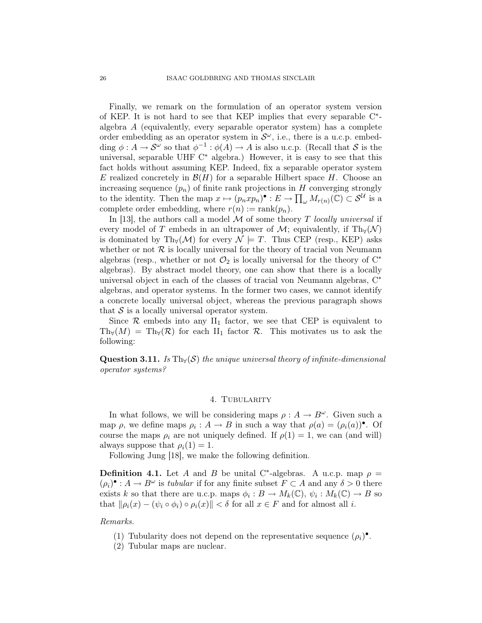Finally, we remark on the formulation of an operator system version of KEP. It is not hard to see that KEP implies that every separable C<sup>∗</sup> algebra A (equivalently, every separable operator system) has a complete order embedding as an operator system in  $\mathcal{S}^{\omega}$ , i.e., there is a u.c.p. embedding  $\phi: A \to \mathcal{S}^{\omega}$  so that  $\phi^{-1}: \phi(A) \to A$  is also u.c.p. (Recall that S is the universal, separable UHF C<sup>∗</sup> algebra.) However, it is easy to see that this fact holds without assuming KEP. Indeed, fix a separable operator system E realized concretely in  $\mathcal{B}(H)$  for a separable Hilbert space H. Choose an increasing sequence  $(p_n)$  of finite rank projections in H converging strongly to the identity. Then the map  $x \mapsto (p_n x p_n)^\bullet : E \to \prod_{\omega} M_{r(n)}(\mathbb{C}) \subset \mathcal{S}^{\mathcal{U}}$  is a complete order embedding, where  $r(n) := \operatorname{rank}(p_n)$ .

In [13], the authors call a model  $M$  of some theory  $T$  locally universal if every model of T embeds in an ultrapower of  $\mathcal{M}$ ; equivalently, if Th<sub>∀</sub>( $\mathcal{N}$ ) is dominated by Th<sub>∀</sub>( $\mathcal{M}$ ) for every  $\mathcal{N} \models T$ . Thus CEP (resp., KEP) asks whether or not  $R$  is locally universal for the theory of tracial von Neumann algebras (resp., whether or not  $\mathcal{O}_2$  is locally universal for the theory of  $C^*$ algebras). By abstract model theory, one can show that there is a locally universal object in each of the classes of tracial von Neumann algebras, C<sup>∗</sup> algebras, and operator systems. In the former two cases, we cannot identify a concrete locally universal object, whereas the previous paragraph shows that  $S$  is a locally universal operator system.

Since  $\mathcal R$  embeds into any  $II_1$  factor, we see that CEP is equivalent to  $Th<sub>\forall</sub>(M) = Th<sub>\forall</sub>(R)$  for each II<sub>1</sub> factor R. This motivates us to ask the following:

Question 3.11. Is Th $_{\forall}(\mathcal{S})$  the unique universal theory of infinite-dimensional operator systems?

## 4. TUBULARITY

In what follows, we will be considering maps  $\rho : A \to B^{\omega}$ . Given such a map  $\rho$ , we define maps  $\rho_i : A \to B$  in such a way that  $\rho(a) = (\rho_i(a))^{\bullet}$ . Of course the maps  $\rho_i$  are not uniquely defined. If  $\rho(1) = 1$ , we can (and will) always suppose that  $\rho_i(1) = 1$ .

Following Jung [18], we make the following definition.

**Definition 4.1.** Let A and B be unital C<sup>\*</sup>-algebras. A u.c.p. map  $\rho =$  $(\rho_i)^\bullet : A \to B^\omega$  is tubular if for any finite subset  $F \subset A$  and any  $\delta > 0$  there exists k so that there are u.c.p. maps  $\phi_i : B \to M_k(\mathbb{C}), \psi_i : M_k(\mathbb{C}) \to B$  so that  $\|\rho_i(x) - (\psi_i \circ \phi_i) \circ \rho_i(x)\| < \delta$  for all  $x \in F$  and for almost all i.

Remarks.

- (1) Tubularity does not depend on the representative sequence  $(\rho_i)^\bullet$ .
- (2) Tubular maps are nuclear.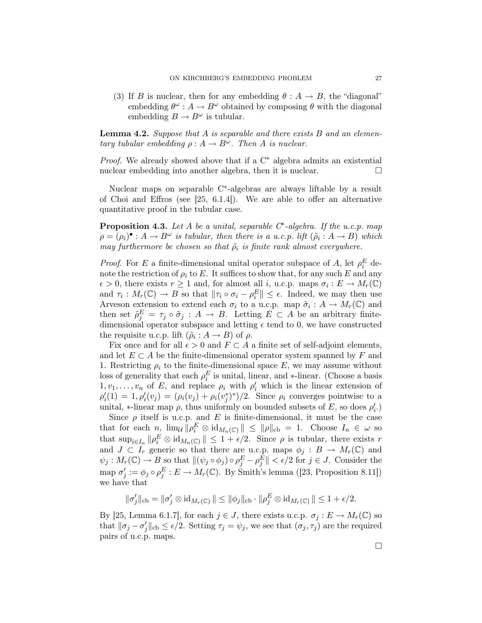(3) If B is nuclear, then for any embedding  $\theta : A \to B$ , the "diagonal" embedding  $\theta^{\omega}: A \to B^{\omega}$  obtained by composing  $\theta$  with the diagonal embedding  $B \to B^{\omega}$  is tubular.

**Lemma 4.2.** Suppose that  $A$  is separable and there exists  $B$  and an elementary tubular embedding  $\rho : A \to B^{\omega}$ . Then A is nuclear.

Proof. We already showed above that if a C<sup>∗</sup> algebra admits an existential nuclear embedding into another algebra, then it is nuclear.

Nuclear maps on separable C<sup>∗</sup> -algebras are always liftable by a result of Choi and Effros (see [25, 6.1.4]). We are able to offer an alternative quantitative proof in the tubular case.

**Proposition 4.3.** Let A be a unital, separable  $C^*$ -algebra. If the u.c.p. map  $\rho = (\rho_i)^{\bullet} : A \to B^{\omega}$  is tubular, then there is a u.c.p. lift  $(\tilde{\rho}_i : A \to B)$  which may furthermore be chosen so that  $\tilde{\rho}_i$  is finite rank almost everywhere.

*Proof.* For E a finite-dimensional unital operator subspace of A, let  $\rho_i^E$  denote the restriction of  $\rho_i$  to E. It suffices to show that, for any such E and any  $\epsilon > 0$ , there exists  $r \geq 1$  and, for almost all i, u.c.p. maps  $\sigma_i : E \to M_r(\mathbb{C})$ and  $\tau_i: M_r(\mathbb{C}) \to B$  so that  $\|\tau_i \circ \sigma_i - \rho_i^E\| \leq \epsilon$ . Indeed, we may then use Arveson extension to extend each  $\sigma_i$  to a u.c.p. map  $\tilde{\sigma}_i : A \to M_r(\mathbb{C})$  and then set  $\tilde{\rho}_j^E = \tau_j \circ \tilde{\sigma}_j : A \to B$ . Letting  $E \subset A$  be an arbitrary finitedimensional operator subspace and letting  $\epsilon$  tend to 0, we have constructed the requisite u.c.p. lift  $(\tilde{\rho}_i : A \to B)$  of  $\rho$ .

Fix once and for all  $\epsilon > 0$  and  $F \subset A$  a finite set of self-adjoint elements, and let  $E \subset A$  be the finite-dimensional operator system spanned by F and 1. Restricting  $\rho_i$  to the finite-dimensional space E, we may assume without loss of generality that each  $\rho_i^E$  is unital, linear, and ∗-linear. (Choose a basis  $1, v_1, \ldots, v_n$  of E, and replace  $\rho_i$  with  $\rho'_i$  which is the linear extension of  $\rho'_i(1) = 1, \rho'_i(v_j) = (\rho_i(v_j) + \rho_i(v_j^*)^*)/2.$  Since  $\rho_i$  converges pointwise to a unital, \*-linear map  $\rho$ , thus uniformly on bounded subsets of E, so does  $\rho'_i$ .

Since  $\rho$  itself is u.c.p. and E is finite-dimensional, it must be the case that for each n,  $\lim_{\mathcal{U}} \|\rho_i^E \otimes \mathrm{id}_{M_n(\mathbb{C})}\| \le \|\rho\|_{\mathrm{cb}} = 1$ . Choose  $I_n \in \omega$  so that  $\sup_{i\in I_n} \|\rho_i^E \otimes \mathrm{id}_{M_n(\mathbb{C})}\| \leq 1 + \epsilon/2$ . Since  $\rho$  is tubular, there exists r and  $J \subset I_r$  generic so that there are u.c.p. maps  $\phi_j : B \to M_r(\mathbb{C})$  and  $\psi_j: M_r(\mathbb{C}) \to B$  so that  $\|(\psi_j \circ \phi_j) \circ \rho_j^E - \rho_j^E \| < \epsilon/2$  for  $j \in J$ . Consider the map  $\sigma'_j := \phi_j \circ \rho_j^E : E \to M_r(\mathbb{C})$ . By Smith's lemma ([23, Proposition 8.11]) we have that

 $\|\sigma'_j\|_{\text{cb}} = \|\sigma'_j \otimes \mathrm{id}_{M_r(\mathbb{C})}\| \leq \|\phi_j\|_{\text{cb}} \cdot \|\rho_j^E \otimes \mathrm{id}_{M_r(\mathbb{C})}\| \leq 1 + \epsilon/2.$ 

By [25, Lemma 6.1.7], for each  $j \in J$ , there exists u.c.p.  $\sigma_j : E \to M_r(\mathbb{C})$  so that  $\|\sigma_j - \sigma'_j\|_{cb} \le \epsilon/2$ . Setting  $\tau_j = \psi_j$ , we see that  $(\sigma_j, \tau_j)$  are the required pairs of u.c.p. maps.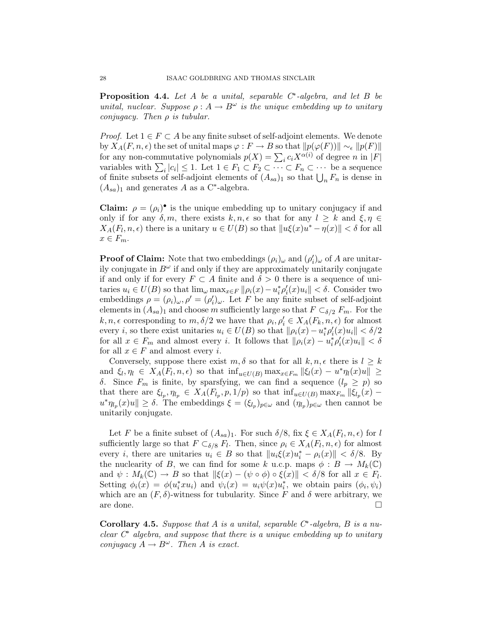**Proposition 4.4.** Let  $A$  be a unital, separable  $C^*$ -algebra, and let  $B$  be unital, nuclear. Suppose  $\rho: A \to B^{\omega}$  is the unique embedding up to unitary conjugacy. Then  $\rho$  is tubular.

*Proof.* Let  $1 \in F \subset A$  be any finite subset of self-adjoint elements. We denote by  $X_A(F, n, \epsilon)$  the set of unital maps  $\varphi : F \to B$  so that  $||p(\varphi(F))|| \sim_{\epsilon} ||p(F)||$ for any non-commutative polynomials  $p(X) = \sum_i c_i X^{\alpha(i)}$  of degree n in  $|F|$ variables with  $\sum_i |c_i| \leq 1$ . Let  $1 \in F_1 \subset F_2 \subset \cdots \subset F_n \subset \cdots$  be a sequence of finite subsets of self-adjoint elements of  $(A_{sa})_1$  so that  $\bigcup_n F_n$  is dense in  $(A_{sa})_1$  and generates A as a C<sup>\*</sup>-algebra.

**Claim:**  $\rho = (\rho_i)^{\bullet}$  is the unique embedding up to unitary conjugacy if and only if for any  $\delta, m$ , there exists  $k, n, \epsilon$  so that for any  $l \geq k$  and  $\xi, \eta \in$  $X_A(F_l, n, \epsilon)$  there is a unitary  $u \in U(B)$  so that  $||u\xi(x)u^* - \eta(x)|| < \delta$  for all  $x \in F_m$ .

**Proof of Claim:** Note that two embeddings  $(\rho_i)_{\omega}$  and  $(\rho'_i)_{\omega}$  of A are unitarily conjugate in  $B^{\omega}$  if and only if they are approximately unitarily conjugate if and only if for every  $F \subset A$  finite and  $\delta > 0$  there is a sequence of unitaries  $u_i \in U(B)$  so that  $\lim_{\omega} \max_{x \in F} ||\rho_i(x) - u_i^* \rho_i'(x) u_i|| < \delta$ . Consider two embeddings  $\rho = (\rho_i)_{\omega}, \rho' = (\rho'_i)_{\omega}$ . Let F be any finite subset of self-adjoint elements in  $(A_{sa})_1$  and choose m sufficiently large so that  $F \subset_{\delta/2} F_m$ . For the  $k, n, \epsilon$  corresponding to  $m, \delta/2$  we have that  $\rho_i, \rho'_i \in X_A(F_k, n, \epsilon)$  for almost every *i*, so there exist unitaries  $u_i \in U(B)$  so that  $\|\rho_i(x) - u_i^*\rho'_i(x)u_i\| < \delta/2$ for all  $x \in F_m$  and almost every i. It follows that  $\|\rho_i(x) - u_i^*\rho_i'(x)u_i\| < \delta$ for all  $x \in F$  and almost every *i*.

Conversely, suppose there exist  $m, \delta$  so that for all  $k, n, \epsilon$  there is  $l \geq k$ and  $\xi_l, \eta_l \in X_A(F_l, n, \epsilon)$  so that  $\inf_{u \in U(B)} \max_{x \in F_m} ||\xi_l(x) - u^* \eta_l(x)u|| \ge$ δ. Since  $F_m$  is finite, by sparsfying, we can find a sequence  $(l_p \geq p)$  so that there are  $\xi_{l_p}, \eta_{l_p} \in X_A(F_{l_p}, p, 1/p)$  so that  $\inf_{u \in U(B)} \max_{F_m} ||\xi_{l_p}(x)$  $u^*\eta_{l_p}(x)u \leq \delta$ . The embeddings  $\xi = (\xi_{l_p})_{p \in \omega}$  and  $(\eta_{l_p})_{p \in \omega}$  then cannot be unitarily conjugate.

Let F be a finite subset of  $(A_{sa})_1$ . For such  $\delta/8$ , fix  $\xi \in X_A(F_l, n, \epsilon)$  for l sufficiently large so that  $F \subset_{\delta/8} F_l$ . Then, since  $\rho_i \in X_A(F_l, n, \epsilon)$  for almost every *i*, there are unitaries  $u_i \in B$  so that  $||u_i \xi(x) u_i^* - \rho_i(x)|| < \delta/8$ . By the nuclearity of B, we can find for some k u.c.p. maps  $\phi : B \to M_k(\mathbb{C})$ and  $\psi: M_k(\mathbb{C}) \to B$  so that  $\|\xi(x) - (\psi \circ \phi) \circ \xi(x)\| < \delta/8$  for all  $x \in F_l$ . Setting  $\phi_i(x) = \phi(u_i^* x u_i)$  and  $\psi_i(x) = u_i \psi(x) u_i^*$ , we obtain pairs  $(\phi_i, \psi_i)$ which are an  $(F, \delta)$ -witness for tubularity. Since F and  $\delta$  were arbitrary, we are done.

Corollary 4.5. Suppose that A is a unital, separable  $C^*$ -algebra, B is a nuclear  $C^*$  algebra, and suppose that there is a unique embedding up to unitary conjugacy  $A \to B^{\omega}$ . Then A is exact.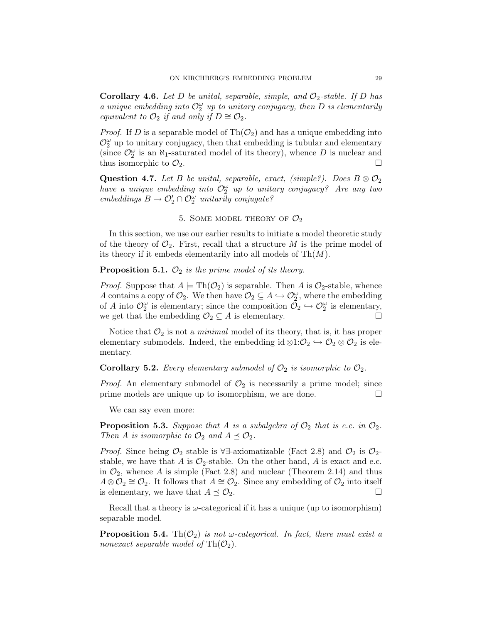**Corollary 4.6.** Let D be unital, separable, simple, and  $\mathcal{O}_2$ -stable. If D has a unique embedding into  $\mathcal{O}_2^{\omega}$  up to unitary conjugacy, then D is elementarily equivalent to  $\mathcal{O}_2$  if and only if  $D \cong \mathcal{O}_2$ .

*Proof.* If D is a separable model of Th $(\mathcal{O}_2)$  and has a unique embedding into  $\mathcal{O}_2^\omega$  up to unitary conjugacy, then that embedding is tubular and elementary (since  $\mathcal{O}_2^{\omega}$  is an  $\aleph_1$ -saturated model of its theory), whence D is nuclear and thus isomorphic to  $\mathcal{O}_2$ .

**Question 4.7.** Let B be unital, separable, exact, (simple?). Does  $B \otimes \mathcal{O}_2$ have a unique embedding into  $\mathcal{O}_2^{\omega}$  up to unitary conjugacy? Are any two  $embeddings \n B \to \mathcal{O}'_2 \cap \mathcal{O}^{\omega}_2$  unitarily conjugate?

# 5. SOME MODEL THEORY OF  $\mathcal{O}_2$

In this section, we use our earlier results to initiate a model theoretic study of the theory of  $\mathcal{O}_2$ . First, recall that a structure M is the prime model of its theory if it embeds elementarily into all models of  $\text{Th}(M)$ .

### **Proposition 5.1.**  $\mathcal{O}_2$  is the prime model of its theory.

*Proof.* Suppose that  $A \models \text{Th}(\mathcal{O}_2)$  is separable. Then A is  $\mathcal{O}_2$ -stable, whence A contains a copy of  $\mathcal{O}_2$ . We then have  $\mathcal{O}_2 \subseteq A \hookrightarrow \mathcal{O}_2^{\omega}$ , where the embedding of A into  $\mathcal{O}_2^{\omega}$  is elementary; since the composition  $\mathcal{O}_2 \hookrightarrow \mathcal{O}_2^{\omega}$  is elementary, we get that the embedding  $\mathcal{O}_2 \subseteq A$  is elementary.

Notice that  $\mathcal{O}_2$  is not a *minimal* model of its theory, that is, it has proper elementary submodels. Indeed, the embedding id  $\otimes$ 1: $\mathcal{O}_2 \hookrightarrow \mathcal{O}_2 \otimes \mathcal{O}_2$  is elementary.

## **Corollary 5.2.** Every elementary submodel of  $\mathcal{O}_2$  is isomorphic to  $\mathcal{O}_2$ .

*Proof.* An elementary submodel of  $\mathcal{O}_2$  is necessarily a prime model; since prime models are unique up to isomorphism, we are done.

We can say even more:

**Proposition 5.3.** Suppose that A is a subalgebra of  $\mathcal{O}_2$  that is e.c. in  $\mathcal{O}_2$ . Then A is isomorphic to  $\mathcal{O}_2$  and  $A \preceq \mathcal{O}_2$ .

*Proof.* Since being  $\mathcal{O}_2$  stable is  $\forall \exists$ -axiomatizable (Fact 2.8) and  $\mathcal{O}_2$  is  $\mathcal{O}_2$ stable, we have that A is  $\mathcal{O}_2$ -stable. On the other hand, A is exact and e.c. in  $\mathcal{O}_2$ , whence A is simple (Fact 2.8) and nuclear (Theorem 2.14) and thus  $A \otimes \mathcal{O}_2 \cong \mathcal{O}_2$ . It follows that  $A \cong \mathcal{O}_2$ . Since any embedding of  $\mathcal{O}_2$  into itself is elementary, we have that  $A \preceq \mathcal{O}_2$ .

Recall that a theory is  $\omega$ -categorical if it has a unique (up to isomorphism) separable model.

**Proposition 5.4.** Th $(\mathcal{O}_2)$  is not w-categorical. In fact, there must exist a nonexact separable model of  $\text{Th}(\mathcal{O}_2)$ .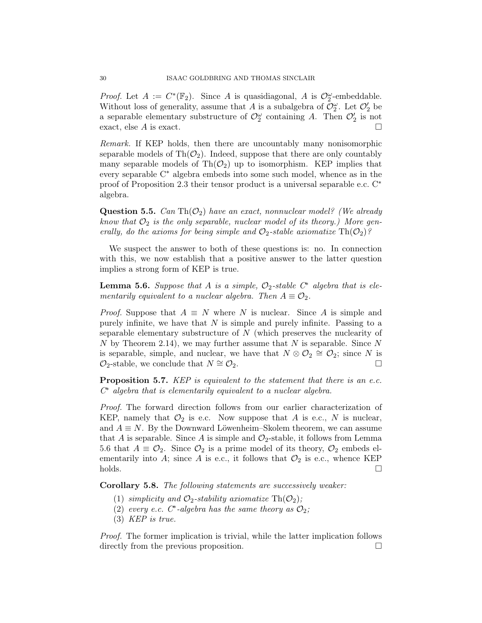*Proof.* Let  $A := C^*(\mathbb{F}_2)$ . Since A is quasidiagonal, A is  $\mathcal{O}_2^{\omega}$ -embeddable. Without loss of generality, assume that A is a subalgebra of  $\mathcal{O}_2^{\omega}$ . Let  $\mathcal{O}_2'$  be a separable elementary substructure of  $\mathcal{O}_2^{\omega}$  containing A. Then  $\mathcal{O}_2'$  is not exact, else A is exact.

Remark. If KEP holds, then there are uncountably many nonisomorphic separable models of  $\text{Th}(\mathcal{O}_2)$ . Indeed, suppose that there are only countably many separable models of  $\text{Th}(\mathcal{O}_2)$  up to isomorphism. KEP implies that every separable C<sup>∗</sup> algebra embeds into some such model, whence as in the proof of Proposition 2.3 their tensor product is a universal separable e.c. C<sup>∗</sup> algebra.

**Question 5.5.** Can Th $(\mathcal{O}_2)$  have an exact, nonnuclear model? (We already know that  $\mathcal{O}_2$  is the only separable, nuclear model of its theory.) More generally, do the axioms for being simple and  $\mathcal{O}_2$ -stable axiomatize  $\text{Th}(\mathcal{O}_2)$ ?

We suspect the answer to both of these questions is: no. In connection with this, we now establish that a positive answer to the latter question implies a strong form of KEP is true.

**Lemma 5.6.** Suppose that A is a simple,  $O_2$ -stable  $C^*$  algebra that is elementarily equivalent to a nuclear algebra. Then  $A \equiv \mathcal{O}_2$ .

*Proof.* Suppose that  $A \equiv N$  where N is nuclear. Since A is simple and purely infinite, we have that  $N$  is simple and purely infinite. Passing to a separable elementary substructure of  $N$  (which preserves the nuclearity of N by Theorem 2.14), we may further assume that N is separable. Since  $N$ is separable, simple, and nuclear, we have that  $N \otimes \mathcal{O}_2 \cong \mathcal{O}_2$ ; since N is  $\mathcal{O}_2$ -stable, we conclude that  $N \cong \mathcal{O}_2$ .

Proposition 5.7. KEP is equivalent to the statement that there is an e.c. C <sup>∗</sup> algebra that is elementarily equivalent to a nuclear algebra.

Proof. The forward direction follows from our earlier characterization of KEP, namely that  $\mathcal{O}_2$  is e.c. Now suppose that A is e.c., N is nuclear, and  $A \equiv N$ . By the Downward Löwenheim–Skolem theorem, we can assume that A is separable. Since A is simple and  $\mathcal{O}_2$ -stable, it follows from Lemma 5.6 that  $A \equiv \mathcal{O}_2$ . Since  $\mathcal{O}_2$  is a prime model of its theory,  $\mathcal{O}_2$  embeds elementarily into A; since A is e.c., it follows that  $\mathcal{O}_2$  is e.c., whence KEP  $\Box$ holds.

Corollary 5.8. The following statements are successively weaker:

- (1) simplicity and  $\mathcal{O}_2$ -stability axiomatize Th $(\mathcal{O}_2)$ ;
- (2) every e.c.  $C^*$ -algebra has the same theory as  $\mathcal{O}_2$ ;
- (3) KEP is true.

Proof. The former implication is trivial, while the latter implication follows directly from the previous proposition.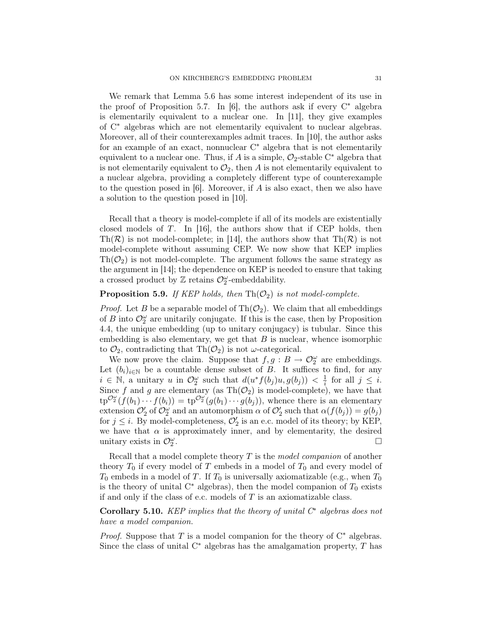We remark that Lemma 5.6 has some interest independent of its use in the proof of Proposition 5.7. In [6], the authors ask if every  $C^*$  algebra is elementarily equivalent to a nuclear one. In [11], they give examples of C<sup>∗</sup> algebras which are not elementarily equivalent to nuclear algebras. Moreover, all of their counterexamples admit traces. In [10], the author asks for an example of an exact, nonnuclear  $C^*$  algebra that is not elementarily equivalent to a nuclear one. Thus, if A is a simple,  $\mathcal{O}_2$ -stable C<sup>∗</sup> algebra that is not elementarily equivalent to  $\mathcal{O}_2$ , then A is not elementarily equivalent to a nuclear algebra, providing a completely different type of counterexample to the question posed in  $[6]$ . Moreover, if A is also exact, then we also have a solution to the question posed in [10].

Recall that a theory is model-complete if all of its models are existentially closed models of T. In [16], the authors show that if CEP holds, then Th( $\mathcal{R}$ ) is not model-complete; in [14], the authors show that Th( $\mathcal{R}$ ) is not model-complete without assuming CEP. We now show that KEP implies  $\text{Th}(\mathcal{O}_2)$  is not model-complete. The argument follows the same strategy as the argument in [14]; the dependence on KEP is needed to ensure that taking a crossed product by  $\mathbb Z$  retains  $\mathcal O_2^{\omega}$ -embeddability.

# **Proposition 5.9.** If KEP holds, then  $\text{Th}(\mathcal{O}_2)$  is not model-complete.

*Proof.* Let B be a separable model of  $\text{Th}(\mathcal{O}_2)$ . We claim that all embeddings of B into  $\mathcal{O}_2^{\omega}$  are unitarily conjugate. If this is the case, then by Proposition 4.4, the unique embedding (up to unitary conjugacy) is tubular. Since this embedding is also elementary, we get that  $B$  is nuclear, whence isomorphic to  $\mathcal{O}_2$ , contradicting that Th $(\mathcal{O}_2)$  is not  $\omega$ -categorical.

We now prove the claim. Suppose that  $f, g : B \to \mathcal{O}_2^{\omega}$  are embeddings. Let  $(b_i)_{i\in\mathbb{N}}$  be a countable dense subset of B. It suffices to find, for any  $i \in \mathbb{N}$ , a unitary u in  $\mathcal{O}_2^{\omega}$  such that  $d(u^*f(b_j)u, g(b_j)) < \frac{1}{i}$  $\frac{1}{i}$  for all  $j \leq i$ . Since f and g are elementary (as  $\text{Th}(\mathcal{O}_2)$  is model-complete), we have that  $\text{tp}^{\mathcal{O}_2^{\omega}}(f(b_1)\cdots f(b_i)) = \text{tp}^{\mathcal{O}_2^{\omega}}(g(b_1)\cdots g(b_j)),$  whence there is an elementary extension  $\mathcal{O}'_2$  of  $\mathcal{O}^{\omega}_2$  and an automorphism  $\alpha$  of  $\mathcal{O}'_2$  such that  $\alpha(f(b_j)) = g(b_j)$ for  $j \leq i$ . By model-completeness,  $\mathcal{O}'_2$  is an e.c. model of its theory; by KEP, we have that  $\alpha$  is approximately inner, and by elementarity, the desired unitary exists in  $\mathcal{O}_2^{\omega}$ .

Recall that a model complete theory  $T$  is the *model companion* of another theory  $T_0$  if every model of T embeds in a model of  $T_0$  and every model of  $T_0$  embeds in a model of  $T$ . If  $T_0$  is universally axiomatizable (e.g., when  $T_0$ is the theory of unital  $C^*$  algebras), then the model companion of  $T_0$  exists if and only if the class of e.c. models of  $T$  is an axiomatizable class.

Corollary 5.10. KEP implies that the theory of unital  $C^*$  algebras does not have a model companion.

*Proof.* Suppose that T is a model companion for the theory of  $C^*$  algebras. Since the class of unital  $C^*$  algebras has the amalgamation property, T has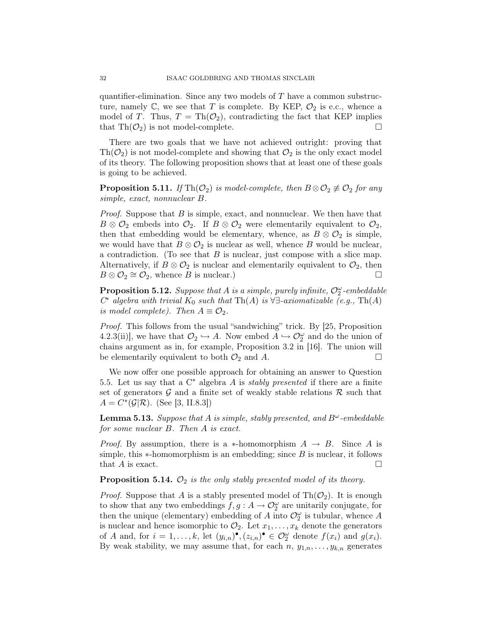quantifier-elimination. Since any two models of  $T$  have a common substructure, namely  $\mathbb{C}$ , we see that T is complete. By KEP,  $\mathcal{O}_2$  is e.c., whence a model of T. Thus,  $T = Th(\mathcal{O}_2)$ , contradicting the fact that KEP implies that  $\text{Th}(\mathcal{O}_2)$  is not model-complete.

There are two goals that we have not achieved outright: proving that  $\text{Th}(\mathcal{O}_2)$  is not model-complete and showing that  $\mathcal{O}_2$  is the only exact model of its theory. The following proposition shows that at least one of these goals is going to be achieved.

**Proposition 5.11.** If Th $(\mathcal{O}_2)$  is model-complete, then  $B \otimes \mathcal{O}_2 \not\equiv \mathcal{O}_2$  for any simple, exact, nonnuclear B.

*Proof.* Suppose that  $B$  is simple, exact, and nonnuclear. We then have that  $B \otimes \mathcal{O}_2$  embeds into  $\mathcal{O}_2$ . If  $B \otimes \mathcal{O}_2$  were elementarily equivalent to  $\mathcal{O}_2$ , then that embedding would be elementary, whence, as  $B \otimes \mathcal{O}_2$  is simple, we would have that  $B \otimes \mathcal{O}_2$  is nuclear as well, whence B would be nuclear, a contradiction. (To see that  $B$  is nuclear, just compose with a slice map. Alternatively, if  $B \otimes \mathcal{O}_2$  is nuclear and elementarily equivalent to  $\mathcal{O}_2$ , then  $B \otimes \mathcal{O}_2 \cong \mathcal{O}_2$ , whence  $\overline{B}$  is nuclear.)

**Proposition 5.12.** Suppose that A is a simple, purely infinite,  $\mathcal{O}_2^{\omega}$ -embeddable  $C^*$  algebra with trivial  $K_0$  such that Th(A) is  $\forall \exists$ -axiomatizable (e.g., Th(A) is model complete). Then  $A \equiv \mathcal{O}_2$ .

Proof. This follows from the usual "sandwiching" trick. By [25, Proposition 4.2.3(ii)], we have that  $\mathcal{O}_2 \hookrightarrow A$ . Now embed  $A \hookrightarrow \mathcal{O}_2^{\omega}$  and do the union of chains argument as in, for example, Proposition 3.2 in [16]. The union will be elementarily equivalent to both  $\mathcal{O}_2$  and A.

We now offer one possible approach for obtaining an answer to Question 5.5. Let us say that a  $C^*$  algebra A is *stably presented* if there are a finite set of generators  $\mathcal G$  and a finite set of weakly stable relations  $\mathcal R$  such that  $A = C^*(\mathcal{G}|\mathcal{R})$ . (See [3, II.8.3])

**Lemma 5.13.** Suppose that A is simple, stably presented, and  $B^{\omega}$ -embeddable for some nuclear B. Then A is exact.

*Proof.* By assumption, there is a  $*$ -homomorphism  $A \rightarrow B$ . Since A is simple, this  $*$ -homomorphism is an embedding; since  $B$  is nuclear, it follows that A is exact.  $\Box$ 

**Proposition 5.14.**  $\mathcal{O}_2$  is the only stably presented model of its theory.

*Proof.* Suppose that A is a stably presented model of  $\text{Th}(\mathcal{O}_2)$ . It is enough to show that any two embeddings  $f, g: A \to \mathcal{O}_2^{\omega}$  are unitarily conjugate, for then the unique (elementary) embedding of A into  $\mathcal{O}_2^{\omega}$  is tubular, whence A is nuclear and hence isomorphic to  $\mathcal{O}_2$ . Let  $x_1, \ldots, x_k$  denote the generators of A and, for  $i = 1, ..., k$ , let  $(y_{i,n})^{\bullet}$ ,  $(z_{i,n})^{\bullet} \in \mathcal{O}_2^{\omega}$  denote  $f(x_i)$  and  $g(x_i)$ . By weak stability, we may assume that, for each  $n, y_{1,n}, \ldots, y_{k,n}$  generates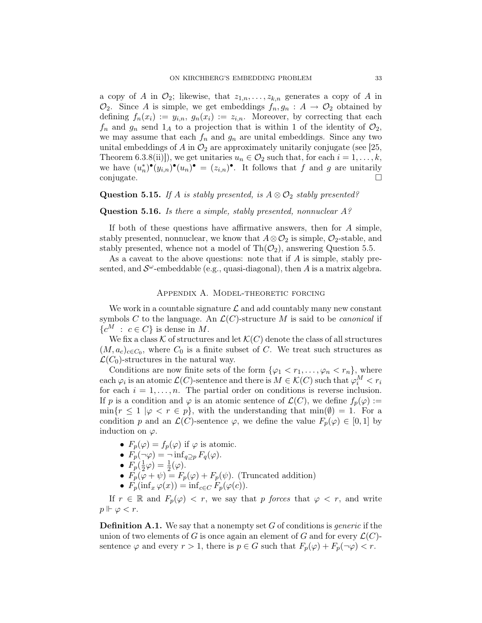a copy of A in  $\mathcal{O}_2$ ; likewise, that  $z_{1,n},\ldots,z_{k,n}$  generates a copy of A in  $\mathcal{O}_2$ . Since A is simple, we get embeddings  $f_n, g_n : A \to \mathcal{O}_2$  obtained by defining  $f_n(x_i) := y_{i,n}, g_n(x_i) := z_{i,n}$ . Moreover, by correcting that each  $f_n$  and  $g_n$  send  $1_A$  to a projection that is within 1 of the identity of  $\mathcal{O}_2$ , we may assume that each  $f_n$  and  $g_n$  are unital embeddings. Since any two unital embeddings of A in  $\mathcal{O}_2$  are approximately unitarily conjugate (see [25, Theorem 6.3.8(ii)]), we get unitaries  $u_n \in \mathcal{O}_2$  such that, for each  $i = 1, \ldots, k$ , we have  $(u_n^*)^{\bullet}(y_{i,n})^{\bullet}(u_n)^{\bullet} = (z_{i,n})^{\bullet}$ . It follows that f and g are unitarily conjugate.  $\Box$ 

## Question 5.15. If A is stably presented, is  $A \otimes \mathcal{O}_2$  stably presented?

### Question 5.16. Is there a simple, stably presented, nonnuclear A?

If both of these questions have affirmative answers, then for A simple, stably presented, nonnuclear, we know that  $A \otimes \mathcal{O}_2$  is simple,  $\mathcal{O}_2$ -stable, and stably presented, whence not a model of  $\text{Th}(\mathcal{O}_2)$ , answering Question 5.5.

As a caveat to the above questions: note that if A is simple, stably presented, and  $\mathcal{S}^{\omega}$ -embeddable (e.g., quasi-diagonal), then A is a matrix algebra.

## Appendix A. Model-theoretic forcing

We work in a countable signature  $\mathcal L$  and add countably many new constant symbols C to the language. An  $\mathcal{L}(C)$ -structure M is said to be *canonical* if  ${c^M : c \in C}$  is dense in M.

We fix a class  $K$  of structures and let  $\mathcal{K}(C)$  denote the class of all structures  $(M, a_c)_{c \in C_0}$ , where  $C_0$  is a finite subset of C. We treat such structures as  $\mathcal{L}(C_0)$ -structures in the natural way.

Conditions are now finite sets of the form  $\{\varphi_1 < r_1, \ldots, \varphi_n < r_n\}$ , where each  $\varphi_i$  is an atomic  $\mathcal{L}(C)$ -sentence and there is  $M \in \mathcal{K}(C)$  such that  $\varphi_i^M < r_i$ for each  $i = 1, \ldots, n$ . The partial order on conditions is reverse inclusion. If p is a condition and  $\varphi$  is an atomic sentence of  $\mathcal{L}(C)$ , we define  $f_p(\varphi) :=$  $\min\{r \leq 1 \mid \varphi < r \in p\}$ , with the understanding that  $\min(\emptyset) = 1$ . For a condition p and an  $\mathcal{L}(C)$ -sentence  $\varphi$ , we define the value  $F_p(\varphi) \in [0,1]$  by induction on  $\varphi$ .

- $F_p(\varphi) = f_p(\varphi)$  if  $\varphi$  is atomic.
- $F_p(\neg \varphi) = \neg \inf_{q \supset p} F_q(\varphi)$ .
- $\bullet$   $F_p(\frac{1}{2})$  $(\frac{1}{2}\varphi)=\frac{1}{2}(\varphi).$
- $\vec{F_p}(\varphi + \psi) = F_p(\varphi) + F_p(\psi)$ . (Truncated addition)
- $F_p(\inf_x \varphi(x)) = \inf_{c \in C} F_p(\varphi(c)).$

If  $r \in \mathbb{R}$  and  $F_p(\varphi) < r$ , we say that p forces that  $\varphi < r$ , and write  $p \Vdash \varphi < r.$ 

**Definition A.1.** We say that a nonempty set  $G$  of conditions is *generic* if the union of two elements of G is once again an element of G and for every  $\mathcal{L}(C)$ sentence  $\varphi$  and every  $r > 1$ , there is  $p \in G$  such that  $F_p(\varphi) + F_p(\neg \varphi) < r$ .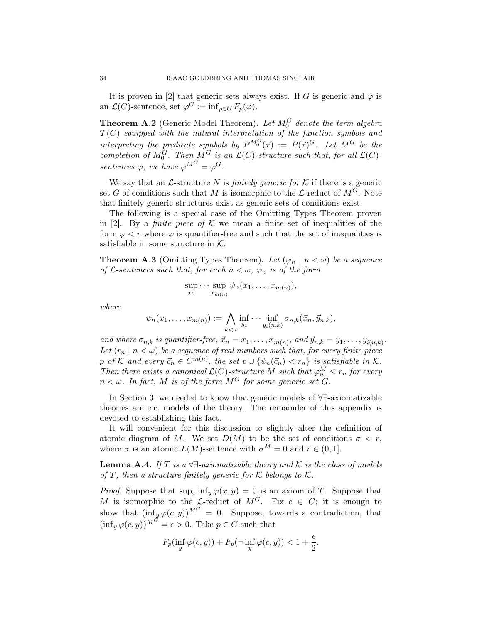It is proven in [2] that generic sets always exist. If G is generic and  $\varphi$  is an  $\mathcal{L}(C)$ -sentence, set  $\varphi^G := \inf_{p \in G} F_p(\varphi)$ .

**Theorem A.2** (Generic Model Theorem). Let  $M_0^G$  denote the term algebra  $\mathcal{T}(C)$  equipped with the natural interpretation of the function symbols and interpreting the predicate symbols by  $P^{M_0^G}(\vec{\tau}) := P(\vec{\tau})^G$ . Let  $M^G$  be the completion of  $M_0^G$ . Then  $M^G$  is an  $\mathcal{L}(C)$ -structure such that, for all  $\mathcal{L}(C)$ sentences  $\varphi$ , we have  $\varphi^{M^G} = \varphi^G$ .

We say that an  $\mathcal{L}$ -structure N is *finitely generic for*  $\mathcal{K}$  if there is a generic set G of conditions such that M is isomorphic to the  $\mathcal{L}\text{-reduct of }M^G$ . Note that finitely generic structures exist as generic sets of conditions exist.

The following is a special case of the Omitting Types Theorem proven in [2]. By a *finite piece of K* we mean a finite set of inequalities of the form  $\varphi < r$  where  $\varphi$  is quantifier-free and such that the set of inequalities is satisfiable in some structure in  $K$ .

**Theorem A.3** (Omitting Types Theorem). Let  $(\varphi_n \mid n < \omega)$  be a sequence of L-sentences such that, for each  $n < \omega$ ,  $\varphi_n$  is of the form

$$
\sup_{x_1} \cdots \sup_{x_{m(n)}} \psi_n(x_1,\ldots,x_{m(n)}),
$$

where

$$
\psi_n(x_1,\ldots,x_{m(n)}):=\bigwedge_{k<\omega}\inf_{y_1}\cdots\inf_{y_i(n,k)}\sigma_{n,k}(\vec{x}_n,\vec{y}_{n,k}),
$$

and where  $\sigma_{n,k}$  is quantifier-free,  $\vec{x}_n = x_1, \ldots, x_{m(n)}$ , and  $\vec{y}_{n,k} = y_1, \ldots, y_{i(n,k)}$ . Let  $(r_n \mid n < \omega)$  be a sequence of real numbers such that, for every finite piece p of K and every  $\vec{c}_n \in C^{m(n)}$ , the set  $p \cup \{\psi_n(\vec{c}_n) < r_n\}$  is satisfiable in K. Then there exists a canonical  $\mathcal{L}(C)$ -structure M such that  $\varphi_n^M \leq r_n$  for every  $n < \omega$ . In fact, M is of the form  $M^G$  for some generic set G.

In Section 3, we needed to know that generic models of ∀∃-axiomatizable theories are e.c. models of the theory. The remainder of this appendix is devoted to establishing this fact.

It will convenient for this discussion to slightly alter the definition of atomic diagram of M. We set  $D(M)$  to be the set of conditions  $\sigma < r$ , where  $\sigma$  is an atomic  $L(M)$ -sentence with  $\sigma^M = 0$  and  $r \in (0, 1]$ .

**Lemma A.4.** If T is a  $\forall \exists$ -axiomatizable theory and K is the class of models of T, then a structure finitely generic for K belongs to K.

*Proof.* Suppose that  $\sup_x \inf_y \varphi(x, y) = 0$  is an axiom of T. Suppose that M is isomorphic to the L-reduct of  $M^G$ . Fix  $c \in C$ ; it is enough to show that  $(\inf_y \varphi(c, y))^{M^G} = 0$ . Suppose, towards a contradiction, that  $(\inf_y \varphi(c, y))^{M^G} = \epsilon > 0$ . Take  $p \in G$  such that

$$
F_p(\inf_y \varphi(c,y)) + F_p(\neg \inf_y \varphi(c,y)) < 1 + \frac{\epsilon}{2}.
$$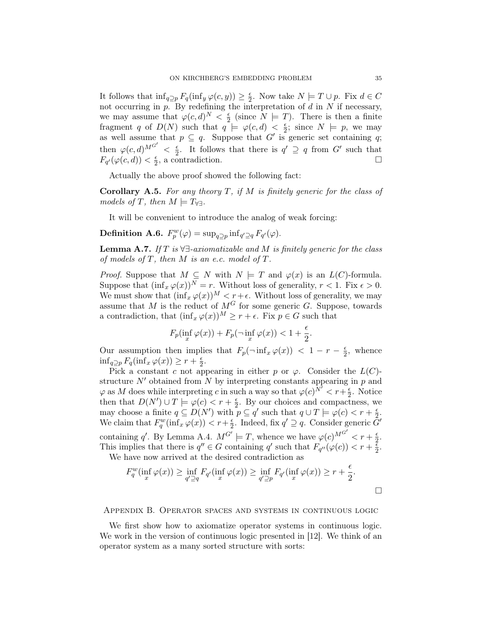It follows that  $\inf_{q\supseteq p} F_q(\inf_y \varphi(c, y)) \geq \frac{\epsilon}{2}$  $\frac{\epsilon}{2}$ . Now take  $N \models T \cup p$ . Fix  $d \in C$ not occurring in  $p$ . By redefining the interpretation of  $d$  in  $N$  if necessary, we may assume that  $\varphi(c, d)^N < \frac{\epsilon}{2}$  (since  $N \models T$ ). There is then a finite Fragment q of  $D(N)$  such that  $q \models \varphi(c, d) < \frac{2}{5}$  $\frac{\epsilon}{2}$ ; since  $N \models p$ , we may as well assume that  $p \subseteq q$ . Suppose that G' is generic set containing q; then  $\varphi(c,d)^{M^{G'}} < \frac{\epsilon}{2}$  $\frac{\epsilon}{2}$ . It follows that there is  $q' \supseteq q$  from  $G'$  such that  $F_{q'}(\varphi(c,d)) < \frac{\epsilon}{2}$  $\frac{\epsilon}{2}$ , a contradiction.

Actually the above proof showed the following fact:

**Corollary A.5.** For any theory  $T$ , if  $M$  is finitely generic for the class of models of T, then  $M \models T_{\forall \exists}$ .

It will be convenient to introduce the analog of weak forcing:

**Definition A.6.** 
$$
F_p^w(\varphi) = \sup_{q \supseteq p} \inf_{q' \supseteq q} F_{q'}(\varphi)
$$
.

**Lemma A.7.** If T is  $\forall \exists$ -axiomatizable and M is finitely generic for the class of models of  $T$ , then  $M$  is an e.c. model of  $T$ .

*Proof.* Suppose that  $M \subseteq N$  with  $N \models T$  and  $\varphi(x)$  is an  $L(C)$ -formula. Suppose that  $(\inf_x \varphi(x))^N = r$ . Without loss of generality,  $r < 1$ . Fix  $\epsilon > 0$ . We must show that  $(\inf'_x \varphi(x))^M < r + \epsilon$ . Without loss of generality, we may assume that M is the reduct of  $M^G$  for some generic G. Suppose, towards a contradiction, that  $(\inf_x \varphi(x))^M \geq r + \epsilon$ . Fix  $p \in G$  such that

$$
F_p(\inf_x \varphi(x)) + F_p(\neg \inf_x \varphi(x)) < 1 + \frac{\epsilon}{2}.
$$

Our assumption then implies that  $F_p(\neg \inf_x \varphi(x)) < 1 - r - \frac{\epsilon}{2}$  $\frac{\epsilon}{2}$ , whence  $\inf_{q \supseteq p} F_q(\inf_x \varphi(x)) \geq r + \frac{\epsilon}{2}$  $\frac{\epsilon}{2}$ .

Pick a constant c not appearing in either p or  $\varphi$ . Consider the  $L(C)$ structure  $N'$  obtained from N by interpreting constants appearing in p and  $\varphi$  as M does while interpreting c in such a way so that  $\varphi(c)^{\tilde{N}'} < r + \frac{\epsilon}{2}$  $\frac{\epsilon}{2}$ . Notice then that  $D(N') \cup T \models \varphi(c) < r + \frac{\epsilon}{2}$  $\frac{\epsilon}{2}$ . By our choices and compactness, we may choose a finite  $q \subseteq D(N')$  with  $p \subseteq q'$  such that  $q \cup T \models \varphi(c) < r + \frac{\epsilon}{2}$  $\frac{\epsilon}{2}$ . We claim that  $F_q^w(\inf_x \varphi(x)) < r + \frac{\epsilon}{2}$  $\frac{\epsilon}{2}$ . Indeed, fix  $q' \supseteq q$ . Consider generic  $\tilde{G}'$ containing q'. By Lemma A.4.  $M^{G'} \models T$ , whence we have  $\varphi(c)^{M^{G'}} < r + \frac{\epsilon}{2}$  $\frac{\epsilon}{2}$ . This implies that there is  $q'' \in G$  containing q' such that  $F_{q''}(\varphi(c)) < r + \frac{z}{2}$  $\frac{\epsilon}{2}$ .

We have now arrived at the desired contradiction as

$$
F_q^w(\inf_x \varphi(x)) \ge \inf_{q' \supseteq q} F_{q'}(\inf_x \varphi(x)) \ge \inf_{q' \supseteq p} F_{q'}(\inf_x \varphi(x)) \ge r + \frac{\epsilon}{2}.
$$

#### Appendix B. Operator spaces and systems in continuous logic

We first show how to axiomatize operator systems in continuous logic. We work in the version of continuous logic presented in [12]. We think of an operator system as a many sorted structure with sorts: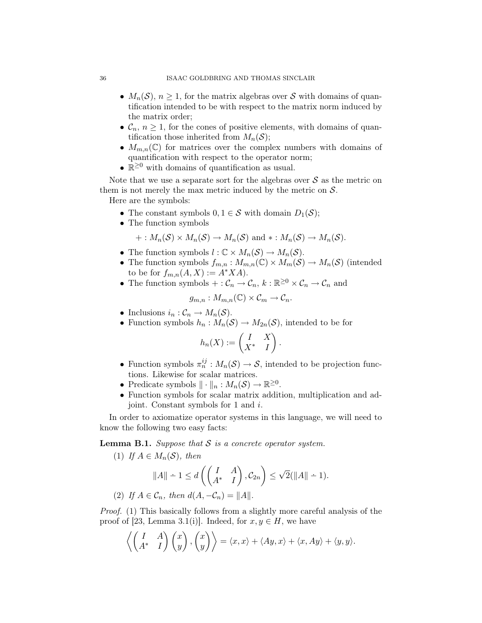- $M_n(\mathcal{S})$ ,  $n \geq 1$ , for the matrix algebras over  $\mathcal S$  with domains of quantification intended to be with respect to the matrix norm induced by the matrix order;
- $C_n$ ,  $n \geq 1$ , for the cones of positive elements, with domains of quantification those inherited from  $M_n(\mathcal{S})$ ;
- $M_{m,n}(\mathbb{C})$  for matrices over the complex numbers with domains of quantification with respect to the operator norm;
- $\mathbb{R}^{\geq 0}$  with domains of quantification as usual.

Note that we use a separate sort for the algebras over  $\mathcal S$  as the metric on them is not merely the max metric induced by the metric on  $S$ .

Here are the symbols:

- The constant symbols  $0, 1 \in S$  with domain  $D_1(S)$ ;
- The function symbols

$$
+: M_n(\mathcal{S}) \times M_n(\mathcal{S}) \to M_n(\mathcal{S}) \text{ and } * : M_n(\mathcal{S}) \to M_n(\mathcal{S}).
$$

- The function symbols  $l : \mathbb{C} \times M_n(\mathcal{S}) \to M_n(\mathcal{S})$ .
- The function symbols  $f_{m,n}: M_{m,n}(\mathbb{C}) \times M_m(\mathcal{S}) \to M_n(\mathcal{S})$  (intended to be for  $f_{m,n}(A, X) := A^* X A$ .
- The function symbols  $+:\mathcal{C}_n \to \mathcal{C}_n$ ,  $k:\mathbb{R}^{\geq 0} \times \mathcal{C}_n \to \mathcal{C}_n$  and

$$
g_{m,n}: M_{m,n}(\mathbb{C}) \times \mathcal{C}_m \to \mathcal{C}_n.
$$

- Inclusions  $i_n : C_n \to M_n(\mathcal{S})$ .
- Function symbols  $h_n: M_n(\mathcal{S}) \to M_{2n}(\mathcal{S})$ , intended to be for

$$
h_n(X) := \begin{pmatrix} I & X \\ X^* & I \end{pmatrix}
$$

• Function symbols  $\pi_n^{ij}: M_n(\mathcal{S}) \to \mathcal{S}$ , intended to be projection functions. Likewise for scalar matrices.

.

- Predicate symbols  $\|\cdot\|_n : M_n(\mathcal{S}) \to \mathbb{R}^{\geq 0}$ .
- Function symbols for scalar matrix addition, multiplication and adjoint. Constant symbols for 1 and i.

In order to axiomatize operator systems in this language, we will need to know the following two easy facts:

**Lemma B.1.** Suppose that  $S$  is a concrete operator system.

(1) If 
$$
A \in M_n(\mathcal{S})
$$
, then  
\n
$$
||A|| - 1 \le d\left(\begin{pmatrix} I & A \\ A^* & I \end{pmatrix}, C_{2n}\right) \le \sqrt{2}(||A|| - 1).
$$
\n(2) If  $A \in \mathcal{C}_n$ , then  $d(A, -\mathcal{C}_n) = ||A||$ .

Proof. (1) This basically follows from a slightly more careful analysis of the proof of [23, Lemma 3.1(i)]. Indeed, for  $x, y \in H$ , we have

$$
\left\langle \begin{pmatrix} I & A \\ A^* & I \end{pmatrix} \begin{pmatrix} x \\ y \end{pmatrix}, \begin{pmatrix} x \\ y \end{pmatrix} \right\rangle = \langle x, x \rangle + \langle Ay, x \rangle + \langle x, Ay \rangle + \langle y, y \rangle.
$$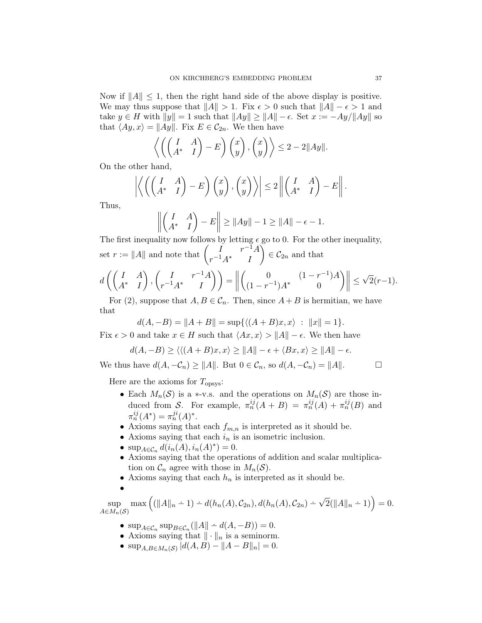Now if  $||A|| \leq 1$ , then the right hand side of the above display is positive. We may thus suppose that  $||A|| > 1$ . Fix  $\epsilon > 0$  such that  $||A|| - \epsilon > 1$  and take  $y \in H$  with  $||y|| = 1$  such that  $||Ay|| \ge ||A|| - \epsilon$ . Set  $x := -Ay/||Ay||$  so that  $\langle Ay, x \rangle = ||Ay||$ . Fix  $E \in C_{2n}$ . We then have

$$
\left\langle \left( \begin{pmatrix} I & A \\ A^* & I \end{pmatrix} - E \right) \begin{pmatrix} x \\ y \end{pmatrix}, \begin{pmatrix} x \\ y \end{pmatrix} \right\rangle \le 2 - 2||Ay||.
$$

On the other hand,

$$
\left| \left\langle \left( \begin{pmatrix} I & A \\ A^* & I \end{pmatrix} - E \right) \begin{pmatrix} x \\ y \end{pmatrix}, \begin{pmatrix} x \\ y \end{pmatrix} \right\rangle \right| \leq 2 \left\| \begin{pmatrix} I & A \\ A^* & I \end{pmatrix} - E \right\|.
$$

Thus,

$$
\left\| \begin{pmatrix} I & A \\ A^* & I \end{pmatrix} - E \right\| \ge \|Ay\| - 1 \ge \|A\| - \epsilon - 1.
$$
  
line *z* = *z* = *z* = *z* = *z* = *z* = *z* = *z* = *z* = *z* = *z* = *z* = *z* = *z* = *z* = *z* = *z* = *z* = *z* = *z* = *z* = *z* = *z* = *z* = *z* = *z* = *z* = *z* = *z* = *z* = *z* = *z* = *z* = *z* = *z* = *z* = *z* = *z* = *z* = *z* = *z* = *z* = *z* = *z* = *z* = *z* = *z* = *z* = *z* = *z* = *z* = *z* = *z* = *z* = *z* = *z* = *z* = *z* = *z* = *z* = *z* = *z* = *z* = *z* = *z* = *z* = *z* = *z* = *z* = *z* = *z* = *z* = *z* = *z* = *z* = *z* = *z* = *z* = *z* = *z* = *z* = *z* = *z* = *z* = *z* = *z* = *z* = *z*

The first inequality now follows by letting  $\epsilon$  go to 0. For the other inequality, set  $r := ||A||$  and note that  $\begin{pmatrix} I & r^{-1}A \\ -1 & 1 & 0 \end{pmatrix}$  $r^{-1}A^*$  I  $\Big) \in \mathcal{C}_{2n}$  and that

$$
d\left(\begin{pmatrix} I & A \\ A^* & I \end{pmatrix}, \begin{pmatrix} I & r^{-1}A \\ r^{-1}A^* & I \end{pmatrix}\right) = \left\| \begin{pmatrix} 0 & (1-r^{-1})A \\ (1-r^{-1})A^* & 0 \end{pmatrix} \right\| \leq \sqrt{2}(r-1).
$$

For (2), suppose that  $A, B \in \mathcal{C}_n$ . Then, since  $A + B$  is hermitian, we have that

$$
d(A, -B) = ||A + B|| = \sup \{ \langle (A + B)x, x \rangle : ||x|| = 1 \}.
$$

Fix  $\epsilon > 0$  and take  $x \in H$  such that  $\langle Ax, x \rangle > ||A|| - \epsilon$ . We then have

$$
d(A, -B) \ge \langle \langle (A+B)x, x \rangle \ge ||A|| - \epsilon + \langle Bx, x \rangle \ge ||A|| - \epsilon.
$$

We thus have  $d(A, -C_n) \ge ||A||$ . But  $0 \in C_n$ , so  $d(A, -C_n) = ||A||$ .  $\Box$ 

Here are the axioms for  $T_{\text{opsys}}$ :

- Each  $M_n(\mathcal{S})$  is a \*-v.s. and the operations on  $M_n(\mathcal{S})$  are those induced from S. For example,  $\pi_n^{ij}(A + B) = \pi_n^{ij}(A) + \pi_n^{ij}(B)$  and  $\pi_n^{ij}(A^*) = \pi_n^{ji}(A)^*.$
- Axioms saying that each  $f_{m,n}$  is interpreted as it should be.
- Axioms saying that each  $i_n$  is an isometric inclusion.
- $\sup_{A \in \mathcal{C}_n} d(i_n(A), i_n(A)^*) = 0.$
- $\bullet\,$  Axioms saying that the operations of addition and scalar multiplication on  $\mathcal{C}_n$  agree with those in  $M_n(\mathcal{S})$ .
- Axioms saying that each  $h_n$  is interpreted as it should be.

$$
\bullet
$$

 $\text{sup} \quad \max\left( (\|A\|_n - 1) - d(h_n(A), C_{2n}), d(h_n(A), C_{2n}) - \sqrt{2}(\|A\|_n - 1) \right) = 0.$  $A\in M_n(\mathcal{S})$ 

- $\sup_{A \in \mathcal{C}_n} \sup_{B \in \mathcal{C}_n} (\|A\| \div d(A, -B)) = 0.$
- Axioms saying that  $\|\cdot\|_n$  is a seminorm.
- $\sup_{A,B\in M_n(S)} |d(A,B)-||A-B||_n|=0.$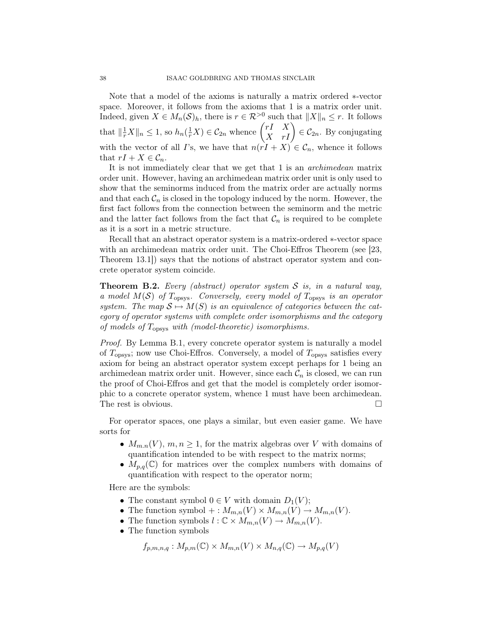Note that a model of the axioms is naturally a matrix ordered ∗-vector space. Moreover, it follows from the axioms that 1 is a matrix order unit. Indeed, given  $X \in M_n(\mathcal{S})_h$ , there is  $r \in \mathcal{R}^{>0}$  such that  $||X||_n \leq r$ . It follows that  $\|\frac{1}{r}X\|_n \leq 1$ , so  $h_n(\frac{1}{r}X) \in \mathcal{C}_{2n}$  whence  $\begin{pmatrix} rI & X \\ X & rI \end{pmatrix} \in \mathcal{C}_{2n}$ . By conjugating with the vector of all I's, we have that  $n(rI + X) \in C_n$ , whence it follows that  $rI + X \in \mathcal{C}_n$ .

It is not immediately clear that we get that 1 is an archimedean matrix order unit. However, having an archimedean matrix order unit is only used to show that the seminorms induced from the matrix order are actually norms and that each  $\mathcal{C}_n$  is closed in the topology induced by the norm. However, the first fact follows from the connection between the seminorm and the metric and the latter fact follows from the fact that  $\mathcal{C}_n$  is required to be complete as it is a sort in a metric structure.

Recall that an abstract operator system is a matrix-ordered ∗-vector space with an archimedean matrix order unit. The Choi-Effros Theorem (see [23, Theorem 13.1]) says that the notions of abstract operator system and concrete operator system coincide.

**Theorem B.2.** Every (abstract) operator system S is, in a natural way, a model  $M(S)$  of  $T_{\text{opsys}}$ . Conversely, every model of  $T_{\text{opsys}}$  is an operator system. The map  $S \mapsto M(S)$  is an equivalence of categories between the category of operator systems with complete order isomorphisms and the category of models of  $T_{\text{opsys}}$  with (model-theoretic) isomorphisms.

Proof. By Lemma B.1, every concrete operator system is naturally a model of  $T_{\text{opsys}}$ ; now use Choi-Effros. Conversely, a model of  $T_{\text{opsys}}$  satisfies every axiom for being an abstract operator system except perhaps for 1 being an archimedean matrix order unit. However, since each  $\mathcal{C}_n$  is closed, we can run the proof of Choi-Effros and get that the model is completely order isomorphic to a concrete operator system, whence 1 must have been archimedean. The rest is obvious.

For operator spaces, one plays a similar, but even easier game. We have sorts for

- $M_{m,n}(V)$ ,  $m, n \geq 1$ , for the matrix algebras over V with domains of quantification intended to be with respect to the matrix norms;
- $M_{p,q}(\mathbb{C})$  for matrices over the complex numbers with domains of quantification with respect to the operator norm;

Here are the symbols:

- The constant symbol  $0 \in V$  with domain  $D_1(V)$ ;
- The function symbol  $+: M_{m,n}(V) \times M_{m,n}(V) \to M_{m,n}(V)$ .
- The function symbols  $l : \mathbb{C} \times M_{m,n}(V) \to M_{m,n}(V)$ .
- The function symbols

$$
f_{p,m,n,q}: M_{p,m}(\mathbb{C}) \times M_{m,n}(V) \times M_{n,q}(\mathbb{C}) \to M_{p,q}(V)
$$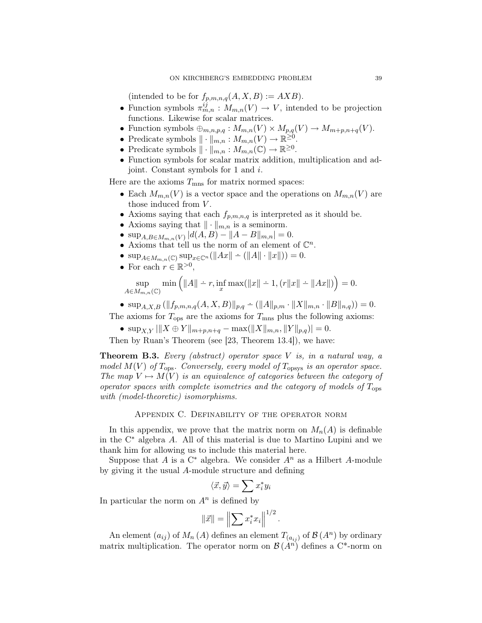(intended to be for  $f_{p,m,n,q}(A, X, B) := AXB$ ).

- Function symbols  $\pi_{m,n}^{ij} : M_{m,n}(V) \to V$ , intended to be projection functions. Likewise for scalar matrices.
- Function symbols  $\oplus_{m,n,p,q}: M_{m,n}(V) \times M_{p,q}(V) \to M_{m+p,n+q}(V)$ .
- Predicate symbols  $\|\cdot\|_{m,n}: M_{m,n}(V) \to \mathbb{R}^{\geq 0}$ .
- Predicate symbols  $\|\cdot\|_{m,n} : M_{m,n}(\mathbb{C}) \to \mathbb{R}^{\geq 0}$ .
- Function symbols for scalar matrix addition, multiplication and adjoint. Constant symbols for 1 and i.

Here are the axioms  $T_{\text{mns}}$  for matrix normed spaces:

- Each  $M_{m,n}(V)$  is a vector space and the operations on  $M_{m,n}(V)$  are those induced from  $V$ .
- Axioms saying that each  $f_{p,m,n,q}$  is interpreted as it should be.
- Axioms saying that  $\|\cdot\|_{m,n}$  is a seminorm.
- $\sup_{A,B \in M_{m,n}(V)} |d(A,B) ||A-B||_{m,n}| = 0.$
- Axioms that tell us the norm of an element of  $\mathbb{C}^n$ .
- $\sup_{A \in M_{m,n}(\mathbb{C})} \sup_{x \in \mathbb{C}^n} (||Ax|| \div (||A|| \cdot ||x||)) = 0.$
- For each  $r \in \mathbb{R}^{>0}$ ,

sup  $A\in M_{m,n}(\mathbb{C})$  $\min\left(\|A\| - r, \inf_x \max(\|x\| - 1, (r\|x\| - \|Ax\|))\right) = 0.$ 

• 
$$
\sup_{A,X,B} (||f_{p,m,n,q}(A, X, B)||_{p,q} - (||A||_{p,m} \cdot ||X||_{m,n} \cdot ||B||_{n,q})) = 0.
$$

The axioms for  $T_{\text{ops}}$  are the axioms for  $T_{\text{mns}}$  plus the following axioms:

•  $\sup_{X,Y} |||X \oplus Y||_{m+p,n+q} - \max(||X||_{m,n}, ||Y||_{p,q})| = 0.$ 

Then by Ruan's Theorem (see [23, Theorem 13.4]), we have:

**Theorem B.3.** Every (abstract) operator space  $V$  is, in a natural way, a model  $M(V)$  of  $T_{\text{ops}}$ . Conversely, every model of  $T_{\text{opsys}}$  is an operator space. The map  $V \mapsto M(V)$  is an equivalence of categories between the category of operator spaces with complete isometries and the category of models of  $T_{\text{obs}}$ with (model-theoretic) isomorphisms.

Appendix C. Definability of the operator norm

In this appendix, we prove that the matrix norm on  $M_n(A)$  is definable in the  $C^*$  algebra A. All of this material is due to Martino Lupini and we thank him for allowing us to include this material here.

Suppose that A is a  $C^*$  algebra. We consider  $A^n$  as a Hilbert A-module by giving it the usual A-module structure and defining

$$
\langle \vec{x}, \vec{y} \rangle = \sum x_i^* y_i
$$

In particular the norm on  $A<sup>n</sup>$  is defined by

$$
\|\vec{x}\| = \left\| \sum x_i^* x_i \right\|^{1/2}
$$

.

An element  $(a_{ij})$  of  $M_n(A)$  defines an element  $T_{(a_{ij})}$  of  $\mathcal{B}(A^n)$  by ordinary matrix multiplication. The operator norm on  $\mathcal{B}(A^n)$  defines a C<sup>\*</sup>-norm on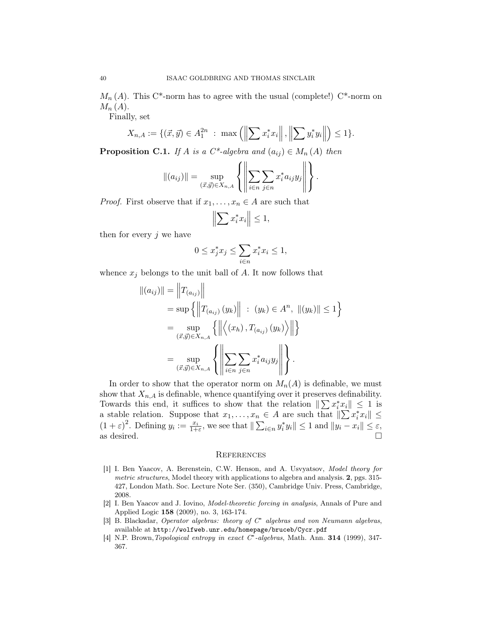$M_n(A)$ . This C<sup>\*</sup>-norm has to agree with the usual (complete!) C<sup>\*</sup>-norm on  $M_n(A)$ .

Finally, set

$$
X_{n,A} := \{(\vec{x}, \vec{y}) \in A_1^{2n} : \max\left(\left\|\sum x_i^* x_i\right\|, \left\|\sum y_i^* y_i\right\|\right) \le 1\}.
$$

**Proposition C.1.** If A is a  $C^*$ -algebra and  $(a_{ij}) \in M_n(A)$  then

$$
\|(a_{ij})\| = \sup_{(\vec{x},\vec{y}) \in X_{n,A}} \left\{ \left\| \sum_{i \in n} \sum_{j \in n} x_i^* a_{ij} y_j \right\| \right\}.
$$

*Proof.* First observe that if  $x_1, \ldots, x_n \in A$  are such that

$$
\left\|\sum x_i^* x_i\right\| \le 1,
$$

then for every  $j$  we have

$$
0 \le x_j^* x_j \le \sum_{i \in n} x_i^* x_i \le 1,
$$

whence  $x_j$  belongs to the unit ball of A. It now follows that

$$
||(a_{ij})|| = ||T_{(a_{ij})}||
$$
  
=  $\sup \{ ||T_{(a_{ij})}(y_k)|| : (y_k) \in A^n, ||(y_k)|| \le 1 \}$   
=  $\sup_{(\vec{x}, \vec{y}) \in X_{n,A}} \{ || \langle (x_h), T_{(a_{ij})}(y_k) \rangle || \}$   
=  $\sup_{(\vec{x}, \vec{y}) \in X_{n,A}} \{ ||\sum_{i \in n} \sum_{j \in n} x_i^* a_{ij} y_j || \}.$ 

In order to show that the operator norm on  $M_n(A)$  is definable, we must show that  $X_{n,A}$  is definable, whence quantifying over it preserves definability. Towards this end, it suffices to show that the relation  $\|\sum x_i^* x_i\| \leq 1$  is a stable relation. Suppose that  $x_1, \ldots, x_n \in A$  are such that  $\|\sum x_i^* x_i\| \leq$  $(1+\varepsilon)^2$ . Defining  $y_i := \frac{x_i}{1+\varepsilon}$ , we see that  $\|\sum_{i\in n} y_i^* y_i\| \le 1$  and  $\|y_i - x_i\| \le \varepsilon$ , as desired.  $\Box$ 

### **REFERENCES**

- [1] I. Ben Yaacov, A. Berenstein, C.W. Henson, and A. Usvyatsov, Model theory for metric structures, Model theory with applications to algebra and analysis. 2, pgs. 315-427, London Math. Soc. Lecture Note Ser. (350), Cambridge Univ. Press, Cambridge, 2008.
- [2] I. Ben Yaacov and J. Iovino, Model-theoretic forcing in analysis, Annals of Pure and Applied Logic 158 (2009), no. 3, 163-174.
- [3] B. Blackadar, Operator algebras: theory of C<sup>∗</sup> algebras and von Neumann algebras, available at http://wolfweb.unr.edu/homepage/bruceb/Cycr.pdf
- [4] N.P. Brown, Topological entropy in exact C<sup>∗</sup>-algebras, Math. Ann. **314** (1999), 347-367.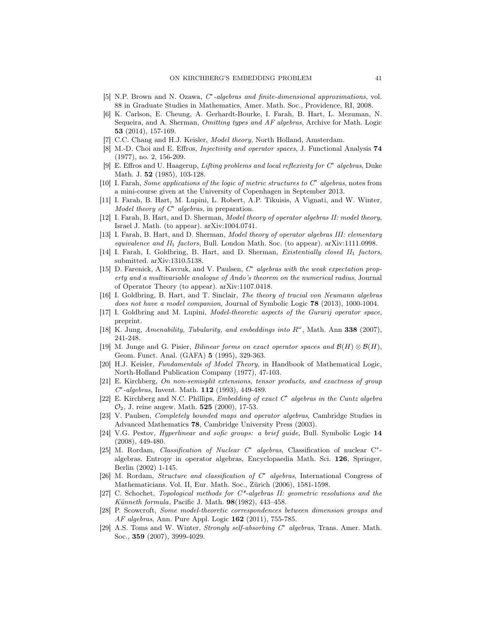- [5] N.P. Brown and N. Ozawa,  $C^*$ -algebras and finite-dimensional approximations, vol. 88 in Graduate Studies in Mathematics, Amer. Math. Soc., Providence, RI, 2008.
- [6] K. Carlson, E. Cheung, A. Gerhardt-Bourke, I. Farah, B. Hart, L. Mezuman, N. Sequeira, and A. Sherman, Omitting types and AF algebras, Archive for Math. Logic 53 (2014), 157-169.
- [7] C.C. Chang and H.J. Keisler, *Model theory*, North Holland, Amsterdam.
- [8] M.-D. Choi and E. Effros, Injectivity and operator spaces, J. Functional Analysis 74 (1977), no. 2, 156-209.
- [9] E. Effros and U. Haagerup, Lifting problems and local reflexivity for C<sup>∗</sup> algebras, Duke Math. J. 52 (1985), 103-128.
- [10] I. Farah, Some applications of the logic of metric structures to  $C^*$  algebras, notes from a mini-course given at the University of Copenhagen in September 2013.
- [11] I. Farah, B. Hart, M. Lupini, L. Robert, A.P. Tikuisis, A Vignati, and W. Winter, Model theory of  $C^*$  algebras, in preparation.
- [12] I. Farah, B. Hart, and D. Sherman, Model theory of operator algebras II: model theory, Israel J. Math. (to appear). arXiv:1004.0741.
- [13] I. Farah, B. Hart, and D. Sherman, Model theory of operator algebras III: elementary equivalence and II<sup>1</sup> factors, Bull. London Math. Soc. (to appear). arXiv:1111.0998.
- [14] I. Farah, I. Goldbring, B. Hart, and D. Sherman, *Existentially closed II<sub>1</sub> factors*, submitted. arXiv:1310.5138.
- [15] D. Farenick, A. Kavruk, and V. Paulsen,  $C^*$  algebras with the weak expectation property and a multivariable analogue of Ando's theorem on the numerical radius, Journal of Operator Theory (to appear). arXiv:1107.0418.
- [16] I. Goldbring, B. Hart, and T. Sinclair, The theory of tracial von Neumann algebras does not have a model companion, Journal of Symbolic Logic 78 (2013), 1000-1004.
- [17] I. Goldbring and M. Lupini, Model-theoretic aspects of the Gurarij operator space, preprint.
- [18] K. Jung, Amenability, Tubularity, and embeddings into  $R^{\omega}$ , Math. Ann 338 (2007), 241-248.
- [19] M. Junge and G. Pisier, Bilinear forms on exact operator spaces and  $\mathcal{B}(H) \otimes \mathcal{B}(H)$ , Geom. Funct. Anal. (GAFA) 5 (1995), 329-363.
- [20] H.J. Keisler, Fundamentals of Model Theory, in Handbook of Mathematical Logic, North-Holland Publication Company (1977), 47-103.
- [21] E. Kirchberg, On non-semisplit extensions, tensor products, and exactness of group C ∗ -algebras, Invent. Math. 112 (1993), 449-489.
- [22] E. Kirchberg and N.C. Phillips, *Embedding of exact C<sup>∗</sup> algebras in the Cuntz algebra*  $\mathcal{O}_2$ , J. reine angew. Math. **525** (2000), 17-53.
- [23] V. Paulsen, Completely bounded maps and operator algebras, Cambridge Studies in Advanced Mathematics 78, Cambridge University Press (2003).
- [24] V.G. Pestov, Hyperlinear and sofic groups: a brief guide, Bull. Symbolic Logic 14 (2008), 449-480.
- [25] M. Rordam, Classification of Nuclear C<sup>\*</sup> algebras, Classification of nuclear C<sup>\*</sup>algebras. Entropy in operator algebras, Encyclopaedia Math. Sci. 126, Springer, Berlin (2002) 1-145.
- [26] M. Rordam, Structure and classification of C<sup>∗</sup> algebras, International Congress of Mathematicians. Vol. II, Eur. Math. Soc., Zürich (2006), 1581-1598.
- [27] C. Schochet, Topological methods for  $C^*$ -algebras II: geometric resolutions and the Künneth formula, Pacific J. Math. 98(1982), 443–458.
- [28] P. Scowcroft, Some model-theoretic correspondences between dimension groups and AF algebras, Ann. Pure Appl. Logic 162 (2011), 755-785.
- [29] A.S. Toms and W. Winter, *Strongly self-absorbing C<sup>∗</sup> algebras*, Trans. Amer. Math. Soc., 359 (2007), 3999-4029.